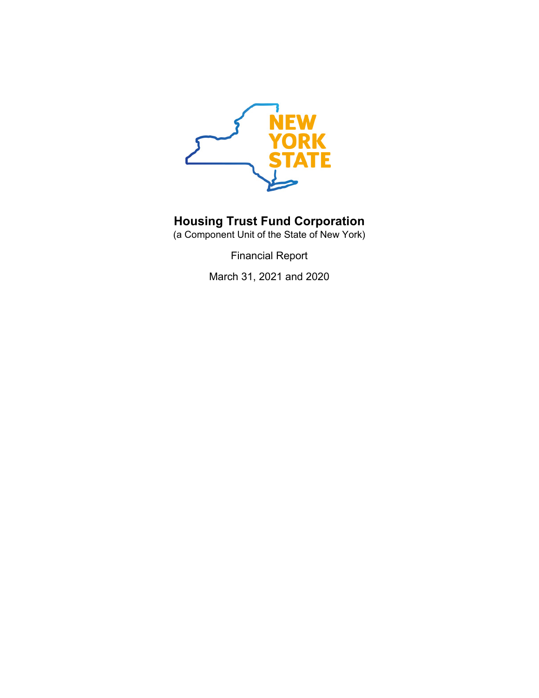

(a Component Unit of the State of New York)

Financial Report

March 31, 2021 and 2020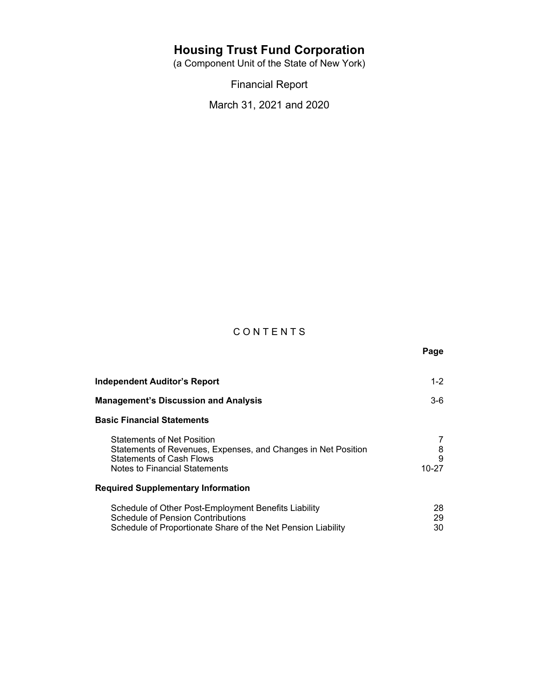(a Component Unit of the State of New York)

Financial Report

March 31, 2021 and 2020

# C O N T E N T S

 **Page マンス こうしょう こうしょう こうしょう こうしょう アイス** 

| Independent Auditor's Report                                                                                                                                           | $1 - 2$              |
|------------------------------------------------------------------------------------------------------------------------------------------------------------------------|----------------------|
| <b>Management's Discussion and Analysis</b>                                                                                                                            | $3-6$                |
| <b>Basic Financial Statements</b>                                                                                                                                      |                      |
| <b>Statements of Net Position</b><br>Statements of Revenues, Expenses, and Changes in Net Position<br><b>Statements of Cash Flows</b><br>Notes to Financial Statements | 7<br>8<br>9<br>10-27 |
| <b>Required Supplementary Information</b>                                                                                                                              |                      |
| Schedule of Other Post-Employment Benefits Liability<br><b>Schedule of Pension Contributions</b><br>Schedule of Proportionate Share of the Net Pension Liability       | 28<br>29<br>30       |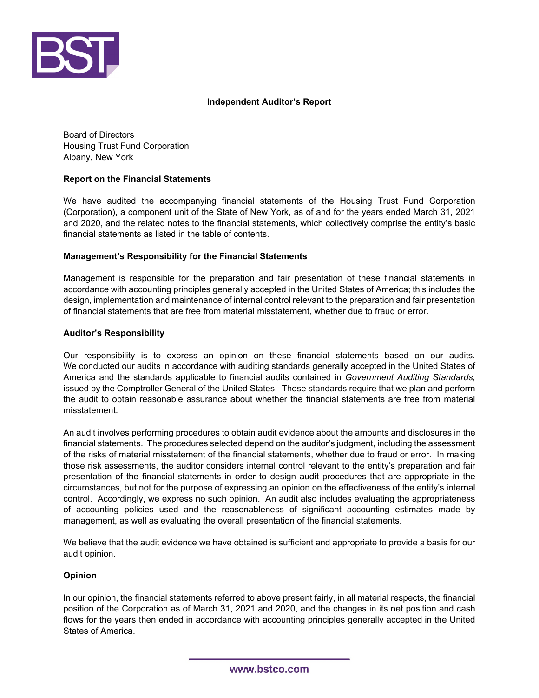

## **Independent Auditor's Report**

Board of Directors Housing Trust Fund Corporation Albany, New York

## **Report on the Financial Statements**

We have audited the accompanying financial statements of the Housing Trust Fund Corporation (Corporation), a component unit of the State of New York, as of and for the years ended March 31, 2021 and 2020, and the related notes to the financial statements, which collectively comprise the entity's basic financial statements as listed in the table of contents.

## **Management's Responsibility for the Financial Statements**

Management is responsible for the preparation and fair presentation of these financial statements in accordance with accounting principles generally accepted in the United States of America; this includes the design, implementation and maintenance of internal control relevant to the preparation and fair presentation of financial statements that are free from material misstatement, whether due to fraud or error.

## **Auditor's Responsibility**

Our responsibility is to express an opinion on these financial statements based on our audits. We conducted our audits in accordance with auditing standards generally accepted in the United States of America and the standards applicable to financial audits contained in *Government Auditing Standards,* issued by the Comptroller General of the United States. Those standards require that we plan and perform the audit to obtain reasonable assurance about whether the financial statements are free from material misstatement.

An audit involves performing procedures to obtain audit evidence about the amounts and disclosures in the financial statements. The procedures selected depend on the auditor's judgment, including the assessment of the risks of material misstatement of the financial statements, whether due to fraud or error. In making those risk assessments, the auditor considers internal control relevant to the entity's preparation and fair presentation of the financial statements in order to design audit procedures that are appropriate in the circumstances, but not for the purpose of expressing an opinion on the effectiveness of the entity's internal control. Accordingly, we express no such opinion. An audit also includes evaluating the appropriateness of accounting policies used and the reasonableness of significant accounting estimates made by management, as well as evaluating the overall presentation of the financial statements.

We believe that the audit evidence we have obtained is sufficient and appropriate to provide a basis for our audit opinion.

## **Opinion**

In our opinion, the financial statements referred to above present fairly, in all material respects, the financial position of the Corporation as of March 31, 2021 and 2020, and the changes in its net position and cash flows for the years then ended in accordance with accounting principles generally accepted in the United States of America.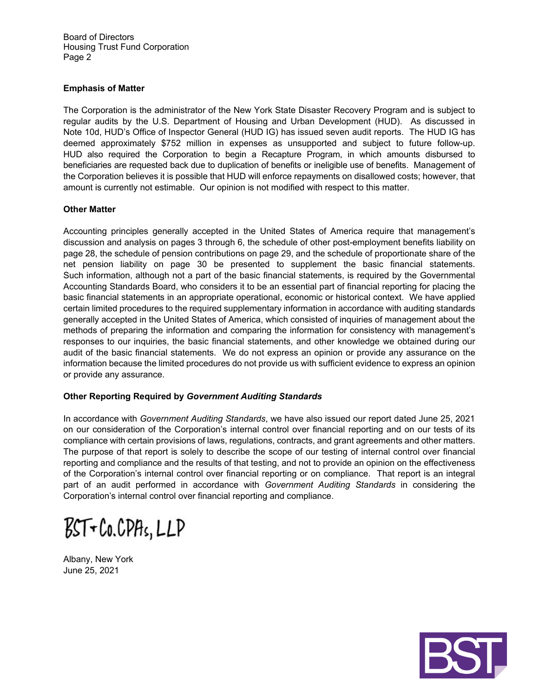Board of Directors Housing Trust Fund Corporation Page 2

### **Emphasis of Matter**

The Corporation is the administrator of the New York State Disaster Recovery Program and is subject to regular audits by the U.S. Department of Housing and Urban Development (HUD). As discussed in Note 10d, HUD's Office of Inspector General (HUD IG) has issued seven audit reports. The HUD IG has deemed approximately \$752 million in expenses as unsupported and subject to future follow-up. HUD also required the Corporation to begin a Recapture Program, in which amounts disbursed to beneficiaries are requested back due to duplication of benefits or ineligible use of benefits. Management of the Corporation believes it is possible that HUD will enforce repayments on disallowed costs; however, that amount is currently not estimable. Our opinion is not modified with respect to this matter.

### **Other Matter**

Accounting principles generally accepted in the United States of America require that management's discussion and analysis on pages 3 through 6, the schedule of other post-employment benefits liability on page 28, the schedule of pension contributions on page 29, and the schedule of proportionate share of the net pension liability on page 30 be presented to supplement the basic financial statements. Such information, although not a part of the basic financial statements, is required by the Governmental Accounting Standards Board, who considers it to be an essential part of financial reporting for placing the basic financial statements in an appropriate operational, economic or historical context. We have applied certain limited procedures to the required supplementary information in accordance with auditing standards generally accepted in the United States of America, which consisted of inquiries of management about the methods of preparing the information and comparing the information for consistency with management's responses to our inquiries, the basic financial statements, and other knowledge we obtained during our audit of the basic financial statements. We do not express an opinion or provide any assurance on the information because the limited procedures do not provide us with sufficient evidence to express an opinion or provide any assurance.

## **Other Reporting Required by** *Government Auditing Standards*

In accordance with *Government Auditing Standards*, we have also issued our report dated June 25, 2021 on our consideration of the Corporation's internal control over financial reporting and on our tests of its compliance with certain provisions of laws, regulations, contracts, and grant agreements and other matters. The purpose of that report is solely to describe the scope of our testing of internal control over financial reporting and compliance and the results of that testing, and not to provide an opinion on the effectiveness of the Corporation's internal control over financial reporting or on compliance. That report is an integral part of an audit performed in accordance with *Government Auditing Standards* in considering the Corporation's internal control over financial reporting and compliance.

 $BST$ + $Co.CPHs, LLP$ 

Albany, New York June 25, 2021

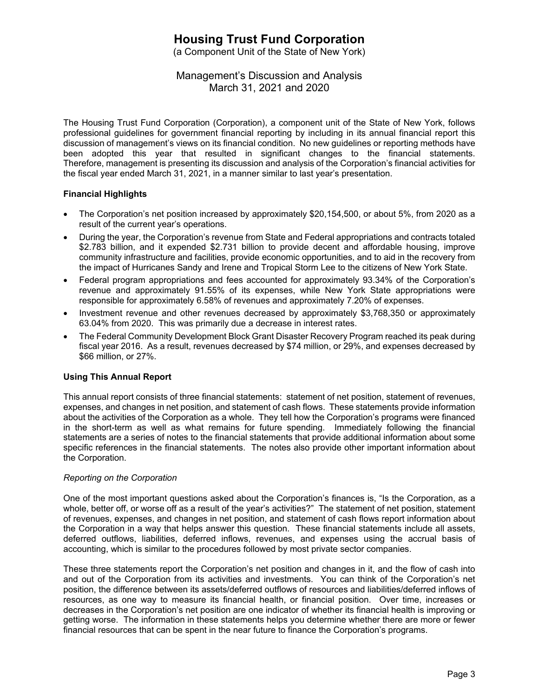(a Component Unit of the State of New York)

## Management's Discussion and Analysis March 31, 2021 and 2020

The Housing Trust Fund Corporation (Corporation), a component unit of the State of New York, follows professional guidelines for government financial reporting by including in its annual financial report this discussion of management's views on its financial condition. No new guidelines or reporting methods have been adopted this year that resulted in significant changes to the financial statements. Therefore, management is presenting its discussion and analysis of the Corporation's financial activities for the fiscal year ended March 31, 2021, in a manner similar to last year's presentation.

## **Financial Highlights**

- The Corporation's net position increased by approximately \$20,154,500, or about 5%, from 2020 as a result of the current year's operations.
- During the year, the Corporation's revenue from State and Federal appropriations and contracts totaled \$2.783 billion, and it expended \$2.731 billion to provide decent and affordable housing, improve community infrastructure and facilities, provide economic opportunities, and to aid in the recovery from the impact of Hurricanes Sandy and Irene and Tropical Storm Lee to the citizens of New York State.
- Federal program appropriations and fees accounted for approximately 93.34% of the Corporation's revenue and approximately 91.55% of its expenses, while New York State appropriations were responsible for approximately 6.58% of revenues and approximately 7.20% of expenses.
- Investment revenue and other revenues decreased by approximately \$3,768,350 or approximately 63.04% from 2020. This was primarily due a decrease in interest rates.
- The Federal Community Development Block Grant Disaster Recovery Program reached its peak during fiscal year 2016. As a result, revenues decreased by \$74 million, or 29%, and expenses decreased by \$66 million, or 27%.

#### **Using This Annual Report**

This annual report consists of three financial statements: statement of net position, statement of revenues, expenses, and changes in net position, and statement of cash flows. These statements provide information about the activities of the Corporation as a whole. They tell how the Corporation's programs were financed in the short-term as well as what remains for future spending. Immediately following the financial statements are a series of notes to the financial statements that provide additional information about some specific references in the financial statements. The notes also provide other important information about the Corporation.

#### *Reporting on the Corporation*

One of the most important questions asked about the Corporation's finances is, "Is the Corporation, as a whole, better off, or worse off as a result of the year's activities?" The statement of net position, statement of revenues, expenses, and changes in net position, and statement of cash flows report information about the Corporation in a way that helps answer this question. These financial statements include all assets, deferred outflows, liabilities, deferred inflows, revenues, and expenses using the accrual basis of accounting, which is similar to the procedures followed by most private sector companies.

These three statements report the Corporation's net position and changes in it, and the flow of cash into and out of the Corporation from its activities and investments. You can think of the Corporation's net position, the difference between its assets/deferred outflows of resources and liabilities/deferred inflows of resources, as one way to measure its financial health, or financial position. Over time, increases or decreases in the Corporation's net position are one indicator of whether its financial health is improving or getting worse. The information in these statements helps you determine whether there are more or fewer financial resources that can be spent in the near future to finance the Corporation's programs.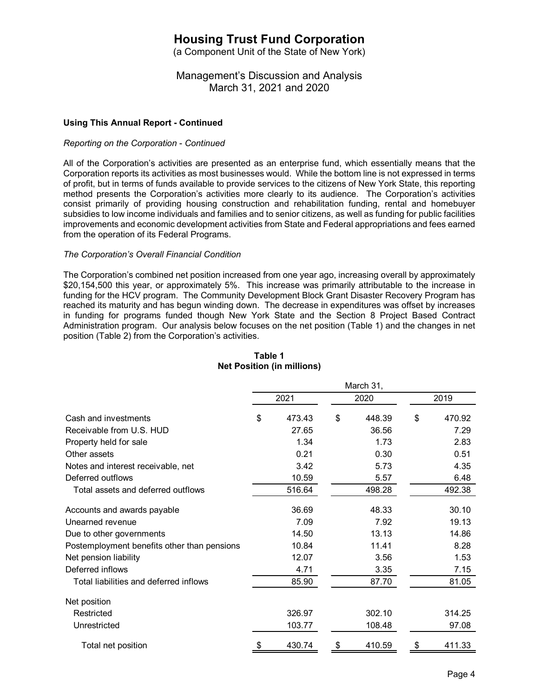(a Component Unit of the State of New York)

## Management's Discussion and Analysis March 31, 2021 and 2020

### **Using This Annual Report - Continued**

#### *Reporting on the Corporation* - *Continued*

All of the Corporation's activities are presented as an enterprise fund, which essentially means that the Corporation reports its activities as most businesses would. While the bottom line is not expressed in terms of profit, but in terms of funds available to provide services to the citizens of New York State, this reporting method presents the Corporation's activities more clearly to its audience. The Corporation's activities consist primarily of providing housing construction and rehabilitation funding, rental and homebuyer subsidies to low income individuals and families and to senior citizens, as well as funding for public facilities improvements and economic development activities from State and Federal appropriations and fees earned from the operation of its Federal Programs.

#### *The Corporation's Overall Financial Condition*

The Corporation's combined net position increased from one year ago, increasing overall by approximately \$20,154,500 this year, or approximately 5%. This increase was primarily attributable to the increase in funding for the HCV program. The Community Development Block Grant Disaster Recovery Program has reached its maturity and has begun winding down. The decrease in expenditures was offset by increases in funding for programs funded though New York State and the Section 8 Project Based Contract Administration program. Our analysis below focuses on the net position (Table 1) and the changes in net position (Table 2) from the Corporation's activities.

|                                             | March 31, |        |    |        |    |        |
|---------------------------------------------|-----------|--------|----|--------|----|--------|
|                                             |           | 2021   |    | 2020   |    | 2019   |
| Cash and investments                        | \$        | 473.43 | \$ | 448.39 | \$ | 470.92 |
| Receivable from U.S. HUD                    |           | 27.65  |    | 36.56  |    | 7.29   |
| Property held for sale                      |           | 1.34   |    | 1.73   |    | 2.83   |
| Other assets                                |           | 0.21   |    | 0.30   |    | 0.51   |
| Notes and interest receivable, net          |           | 3.42   |    | 5.73   |    | 4.35   |
| Deferred outflows                           |           | 10.59  |    | 5.57   |    | 6.48   |
| Total assets and deferred outflows          |           | 516.64 |    | 498.28 |    | 492.38 |
| Accounts and awards payable                 |           | 36.69  |    | 48.33  |    | 30.10  |
| Unearned revenue                            |           | 7.09   |    | 7.92   |    | 19.13  |
| Due to other governments                    |           | 14.50  |    | 13.13  |    | 14.86  |
| Postemployment benefits other than pensions |           | 10.84  |    | 11.41  |    | 8.28   |
| Net pension liability                       |           | 12.07  |    | 3.56   |    | 1.53   |
| Deferred inflows                            |           | 4.71   |    | 3.35   |    | 7.15   |
| Total liabilities and deferred inflows      |           | 85.90  |    | 87.70  |    | 81.05  |
| Net position                                |           |        |    |        |    |        |
| Restricted                                  |           | 326.97 |    | 302.10 |    | 314.25 |
| Unrestricted                                |           | 103.77 |    | 108.48 |    | 97.08  |
| Total net position                          |           | 430.74 | \$ | 410.59 | \$ | 411.33 |

## **Table 1 Net Position (in millions)**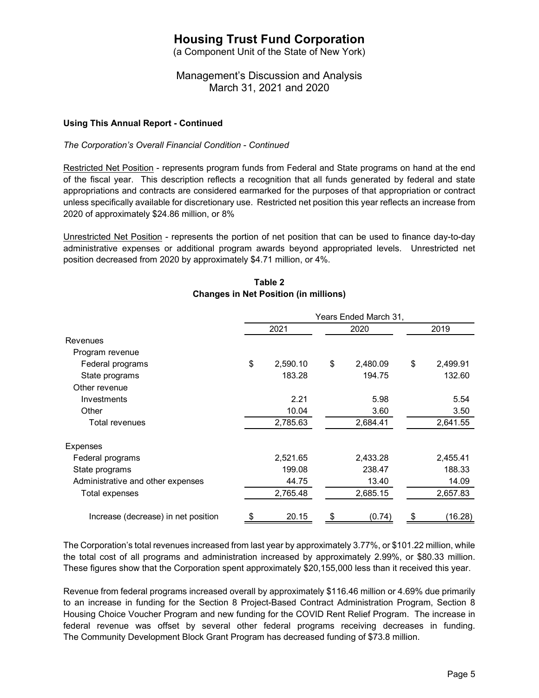(a Component Unit of the State of New York)

Management's Discussion and Analysis March 31, 2021 and 2020

### **Using This Annual Report - Continued**

*The Corporation's Overall Financial Condition* - *Continued*

Restricted Net Position - represents program funds from Federal and State programs on hand at the end of the fiscal year. This description reflects a recognition that all funds generated by federal and state appropriations and contracts are considered earmarked for the purposes of that appropriation or contract unless specifically available for discretionary use. Restricted net position this year reflects an increase from 2020 of approximately \$24.86 million, or 8%

Unrestricted Net Position - represents the portion of net position that can be used to finance day-to-day administrative expenses or additional program awards beyond appropriated levels. Unrestricted net position decreased from 2020 by approximately \$4.71 million, or 4%.

|                                     | Years Ended March 31, |          |    |          |    |          |
|-------------------------------------|-----------------------|----------|----|----------|----|----------|
|                                     |                       | 2021     |    | 2020     |    | 2019     |
| <b>Revenues</b>                     |                       |          |    |          |    |          |
| Program revenue                     |                       |          |    |          |    |          |
| Federal programs                    | \$                    | 2,590.10 | \$ | 2,480.09 | \$ | 2,499.91 |
| State programs                      |                       | 183.28   |    | 194.75   |    | 132.60   |
| Other revenue                       |                       |          |    |          |    |          |
| Investments                         |                       | 2.21     |    | 5.98     |    | 5.54     |
| Other                               |                       | 10.04    |    | 3.60     |    | 3.50     |
| Total revenues                      |                       | 2,785.63 |    | 2,684.41 |    | 2,641.55 |
| Expenses                            |                       |          |    |          |    |          |
| Federal programs                    |                       | 2,521.65 |    | 2,433.28 |    | 2,455.41 |
| State programs                      |                       | 199.08   |    | 238.47   |    | 188.33   |
| Administrative and other expenses   |                       | 44.75    |    | 13.40    |    | 14.09    |
| Total expenses                      |                       | 2,765.48 |    | 2,685.15 |    | 2,657.83 |
| Increase (decrease) in net position | \$                    | 20.15    | \$ | (0.74)   | \$ | (16.28)  |

## **Table 2 Changes in Net Position (in millions)**

The Corporation's total revenues increased from last year by approximately 3.77%, or \$101.22 million, while the total cost of all programs and administration increased by approximately 2.99%, or \$80.33 million. These figures show that the Corporation spent approximately \$20,155,000 less than it received this year.

Revenue from federal programs increased overall by approximately \$116.46 million or 4.69% due primarily to an increase in funding for the Section 8 Project-Based Contract Administration Program, Section 8 Housing Choice Voucher Program and new funding for the COVID Rent Relief Program. The increase in federal revenue was offset by several other federal programs receiving decreases in funding. The Community Development Block Grant Program has decreased funding of \$73.8 million.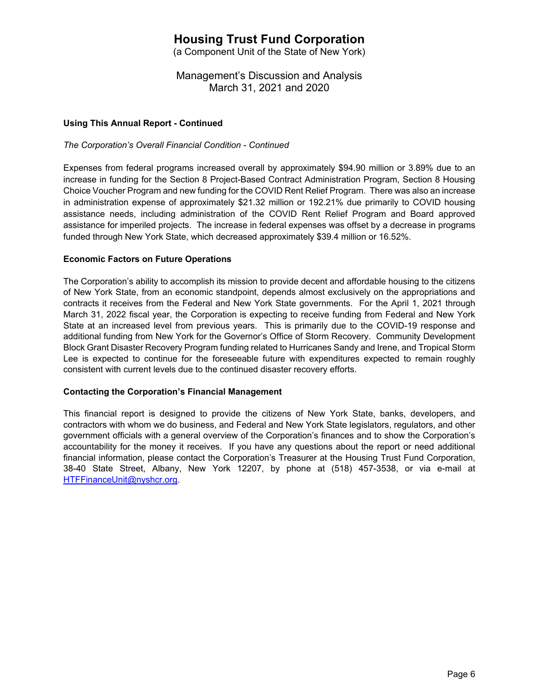(a Component Unit of the State of New York)

Management's Discussion and Analysis March 31, 2021 and 2020

### **Using This Annual Report - Continued**

*The Corporation's Overall Financial Condition* - *Continued*

Expenses from federal programs increased overall by approximately \$94.90 million or 3.89% due to an increase in funding for the Section 8 Project-Based Contract Administration Program, Section 8 Housing Choice Voucher Program and new funding for the COVID Rent Relief Program. There was also an increase in administration expense of approximately \$21.32 million or 192.21% due primarily to COVID housing assistance needs, including administration of the COVID Rent Relief Program and Board approved assistance for imperiled projects. The increase in federal expenses was offset by a decrease in programs funded through New York State, which decreased approximately \$39.4 million or 16.52%.

### **Economic Factors on Future Operations**

The Corporation's ability to accomplish its mission to provide decent and affordable housing to the citizens of New York State, from an economic standpoint, depends almost exclusively on the appropriations and contracts it receives from the Federal and New York State governments. For the April 1, 2021 through March 31, 2022 fiscal year, the Corporation is expecting to receive funding from Federal and New York State at an increased level from previous years. This is primarily due to the COVID-19 response and additional funding from New York for the Governor's Office of Storm Recovery. Community Development Block Grant Disaster Recovery Program funding related to Hurricanes Sandy and Irene, and Tropical Storm Lee is expected to continue for the foreseeable future with expenditures expected to remain roughly consistent with current levels due to the continued disaster recovery efforts.

#### **Contacting the Corporation's Financial Management**

This financial report is designed to provide the citizens of New York State, banks, developers, and contractors with whom we do business, and Federal and New York State legislators, regulators, and other government officials with a general overview of the Corporation's finances and to show the Corporation's accountability for the money it receives. If you have any questions about the report or need additional financial information, please contact the Corporation's Treasurer at the Housing Trust Fund Corporation, 38-40 State Street, Albany, New York 12207, by phone at (518) 457-3538, or via e-mail at HTFFinanceUnit@nyshcr.org.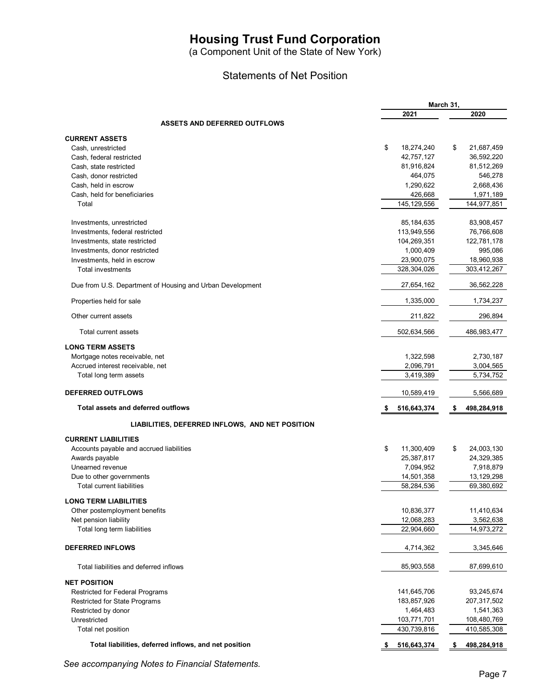(a Component Unit of the State of New York)

## Statements of Net Position

|                                                           | March 31,        |                   |
|-----------------------------------------------------------|------------------|-------------------|
|                                                           | 2021             | 2020              |
| <b>ASSETS AND DEFERRED OUTFLOWS</b>                       |                  |                   |
| <b>CURRENT ASSETS</b>                                     |                  |                   |
| Cash, unrestricted                                        | \$<br>18,274,240 | \$<br>21,687,459  |
| Cash, federal restricted                                  | 42,757,127       | 36,592,220        |
| Cash, state restricted                                    | 81,916,824       | 81,512,269        |
| Cash, donor restricted                                    | 464,075          | 546,278           |
| Cash, held in escrow                                      | 1,290,622        | 2,668,436         |
| Cash, held for beneficiaries                              | 426,668          | 1,971,189         |
| Total                                                     | 145, 129, 556    | 144,977,851       |
| Investments, unrestricted                                 | 85,184,635       | 83,908,457        |
| Investments, federal restricted                           | 113,949,556      | 76,766,608        |
| Investments, state restricted                             | 104,269,351      | 122,781,178       |
| Investments, donor restricted                             | 1,000,409        | 995,086           |
| Investments, held in escrow                               | 23,900,075       | 18,960,938        |
| <b>Total investments</b>                                  | 328,304,026      | 303,412,267       |
| Due from U.S. Department of Housing and Urban Development | 27,654,162       | 36,562,228        |
| Properties held for sale                                  | 1,335,000        | 1,734,237         |
| Other current assets                                      | 211,822          | 296,894           |
| Total current assets                                      | 502,634,566      | 486,983,477       |
| <b>LONG TERM ASSETS</b>                                   |                  |                   |
| Mortgage notes receivable, net                            | 1,322,598        | 2,730,187         |
| Accrued interest receivable, net                          | 2,096,791        | 3,004,565         |
| Total long term assets                                    | 3,419,389        | 5,734,752         |
| <b>DEFERRED OUTFLOWS</b>                                  | 10,589,419       | 5,566,689         |
| Total assets and deferred outflows                        | 516,643,374      | 498,284,918<br>\$ |
| LIABILITIES, DEFERRED INFLOWS, AND NET POSITION           |                  |                   |
| <b>CURRENT LIABILITIES</b>                                |                  |                   |
| Accounts payable and accrued liabilities                  | \$<br>11,300,409 | \$<br>24,003,130  |
| Awards payable                                            | 25,387,817       | 24,329,385        |
| Unearned revenue                                          | 7,094,952        | 7,918,879         |
| Due to other governments                                  | 14,501,358       | 13,129,298        |
| <b>Total current liabilities</b>                          | 58,284,536       | 69,380,692        |
| <b>LONG TERM LIABILITIES</b>                              |                  |                   |
| Other postemployment benefits                             | 10,836,377       | 11,410,634        |
| Net pension liability                                     | 12,068,283       | 3,562,638         |
| Total long term liabilities                               | 22,904,660       | 14,973,272        |
| <b>DEFERRED INFLOWS</b>                                   | 4,714,362        | 3,345,646         |
| Total liabilities and deferred inflows                    | 85,903,558       | 87,699,610        |
| <b>NET POSITION</b>                                       |                  |                   |
| Restricted for Federal Programs                           | 141,645,706      | 93,245,674        |
| <b>Restricted for State Programs</b>                      | 183,857,926      | 207,317,502       |
| Restricted by donor                                       | 1,464,483        | 1,541,363         |
| Unrestricted                                              | 103,771,701      | 108,480,769       |
| Total net position                                        | 430,739,816      | 410,585,308       |
| Total liabilities, deferred inflows, and net position     | 516,643,374      | 498,284,918<br>\$ |
|                                                           |                  |                   |

*See accompanying Notes to Financial Statements.*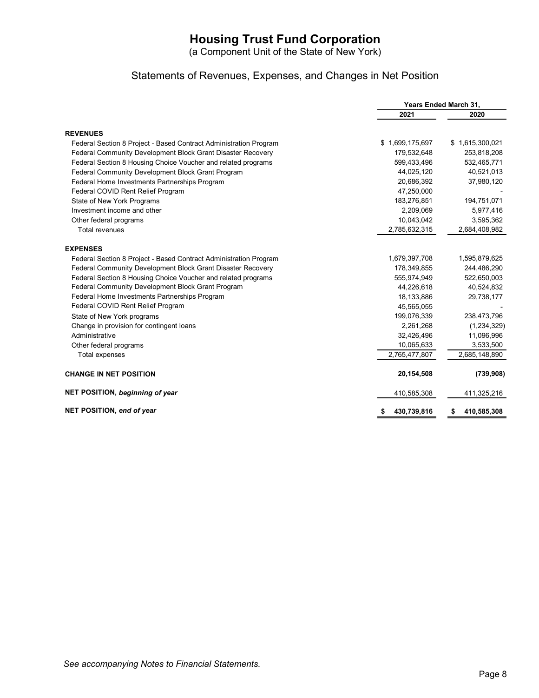(a Component Unit of the State of New York)

# Statements of Revenues, Expenses, and Changes in Net Position

|                                                                   | Years Ended March 31, |                   |  |
|-------------------------------------------------------------------|-----------------------|-------------------|--|
|                                                                   | 2021                  | 2020              |  |
| <b>REVENUES</b>                                                   |                       |                   |  |
| Federal Section 8 Project - Based Contract Administration Program | \$1,699,175,697       | \$1,615,300,021   |  |
| Federal Community Development Block Grant Disaster Recovery       | 179,532,648           | 253,818,208       |  |
| Federal Section 8 Housing Choice Voucher and related programs     | 599,433,496           | 532,465,771       |  |
| Federal Community Development Block Grant Program                 | 44,025,120            | 40,521,013        |  |
| Federal Home Investments Partnerships Program                     | 20,686,392            | 37,980,120        |  |
| Federal COVID Rent Relief Program                                 | 47,250,000            |                   |  |
| State of New York Programs                                        | 183,276,851           | 194,751,071       |  |
| Investment income and other                                       | 2,209,069             | 5,977,416         |  |
| Other federal programs                                            | 10,043,042            | 3,595,362         |  |
| <b>Total revenues</b>                                             | 2,785,632,315         | 2,684,408,982     |  |
| <b>EXPENSES</b>                                                   |                       |                   |  |
| Federal Section 8 Project - Based Contract Administration Program | 1,679,397,708         | 1,595,879,625     |  |
| Federal Community Development Block Grant Disaster Recovery       | 178,349,855           | 244,486,290       |  |
| Federal Section 8 Housing Choice Voucher and related programs     | 555,974,949           | 522,650,003       |  |
| Federal Community Development Block Grant Program                 | 44,226,618            | 40,524,832        |  |
| Federal Home Investments Partnerships Program                     | 18,133,886            | 29,738,177        |  |
| Federal COVID Rent Relief Program                                 | 45,565,055            |                   |  |
| State of New York programs                                        | 199,076,339           | 238,473,796       |  |
| Change in provision for contingent loans                          | 2,261,268             | (1,234,329)       |  |
| Administrative                                                    | 32,426,496            | 11,096,996        |  |
| Other federal programs                                            | 10,065,633            | 3,533,500         |  |
| Total expenses                                                    | 2,765,477,807         | 2,685,148,890     |  |
| <b>CHANGE IN NET POSITION</b>                                     | 20,154,508            | (739, 908)        |  |
| NET POSITION, beginning of year                                   | 410,585,308           | 411,325,216       |  |
| NET POSITION, end of year                                         | 430,739,816           | 410,585,308<br>\$ |  |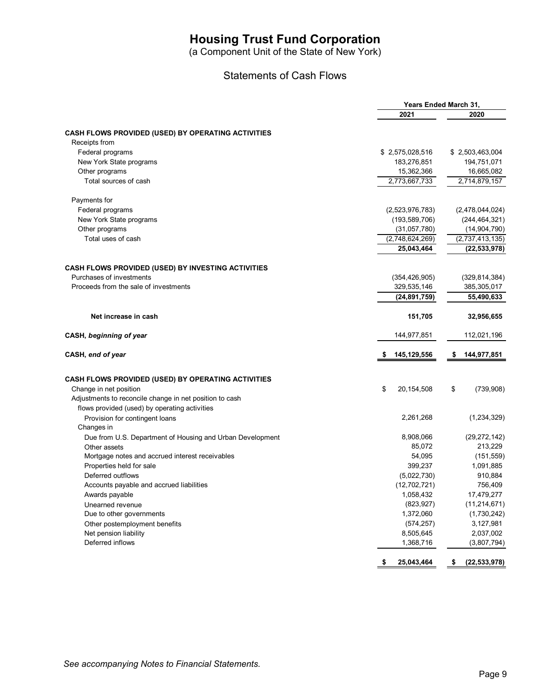(a Component Unit of the State of New York)

## Statements of Cash Flows

|                                                           |                           | Years Ended March 31,        |
|-----------------------------------------------------------|---------------------------|------------------------------|
|                                                           | 2021                      | 2020                         |
|                                                           |                           |                              |
| CASH FLOWS PROVIDED (USED) BY OPERATING ACTIVITIES        |                           |                              |
| Receipts from                                             |                           |                              |
| Federal programs                                          | \$2,575,028,516           | \$2,503,463,004              |
| New York State programs                                   | 183,276,851               | 194,751,071                  |
| Other programs                                            | 15,362,366                | 16,665,082                   |
| Total sources of cash                                     | 2,773,667,733             | 2,714,879,157                |
| Payments for                                              |                           |                              |
| Federal programs                                          | (2,523,976,783)           | (2,478,044,024)              |
| New York State programs                                   | (193, 589, 706)           | (244, 464, 321)              |
| Other programs                                            | (31,057,780)              | (14, 904, 790)               |
| Total uses of cash                                        | (2,748,624,269)           | (2,737,413,135)              |
|                                                           | 25,043,464                | (22, 533, 978)               |
| CASH FLOWS PROVIDED (USED) BY INVESTING ACTIVITIES        |                           |                              |
| Purchases of investments                                  | (354, 426, 905)           | (329, 814, 384)              |
| Proceeds from the sale of investments                     | 329,535,146               | 385,305,017                  |
|                                                           | (24, 891, 759)            | 55,490,633                   |
|                                                           |                           |                              |
| Net increase in cash                                      | 151,705                   | 32,956,655                   |
| CASH, beginning of year                                   | 144,977,851               | 112,021,196                  |
| CASH, end of year                                         | 145,129,556<br>S          | 144,977,851<br>S             |
|                                                           |                           |                              |
| CASH FLOWS PROVIDED (USED) BY OPERATING ACTIVITIES        |                           |                              |
| Change in net position                                    | \$<br>20, 154, 508        | \$<br>(739,908)              |
| Adjustments to reconcile change in net position to cash   |                           |                              |
| flows provided (used) by operating activities             |                           |                              |
| Provision for contingent loans                            | 2,261,268                 | (1, 234, 329)                |
| Changes in                                                |                           |                              |
| Due from U.S. Department of Housing and Urban Development | 8,908,066                 | (29, 272, 142)               |
| Other assets                                              | 85,072<br>54,095          | 213,229                      |
| Mortgage notes and accrued interest receivables           | 399,237                   | (151, 559)                   |
| Properties held for sale<br>Deferred outflows             |                           | 1,091,885                    |
|                                                           | (5,022,730)               | 910,884                      |
| Accounts payable and accrued liabilities                  | (12,702,721)<br>1,058,432 | 756,409                      |
| Awards payable                                            |                           | 17,479,277<br>(11, 214, 671) |
| Unearned revenue                                          | (823, 927)<br>1,372,060   |                              |
| Due to other governments                                  |                           | (1,730,242)                  |
| Other postemployment benefits                             | (574, 257)                | 3,127,981                    |
| Net pension liability<br>Deferred inflows                 | 8,505,645<br>1,368,716    | 2,037,002<br>(3,807,794)     |
|                                                           |                           |                              |
|                                                           | 25,043,464<br>\$          | (22, 533, 978)<br>\$         |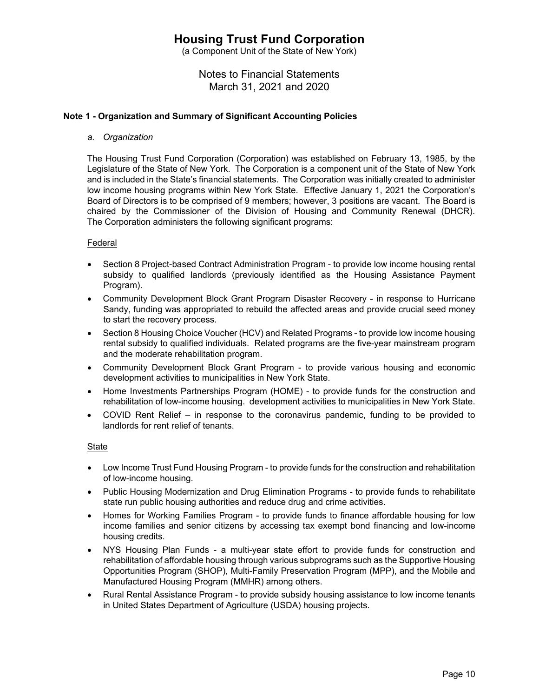(a Component Unit of the State of New York)

# Notes to Financial Statements March 31, 2021 and 2020

### **Note 1 - Organization and Summary of Significant Accounting Policies**

*a. Organization* 

The Housing Trust Fund Corporation (Corporation) was established on February 13, 1985, by the Legislature of the State of New York. The Corporation is a component unit of the State of New York and is included in the State's financial statements. The Corporation was initially created to administer low income housing programs within New York State. Effective January 1, 2021 the Corporation's Board of Directors is to be comprised of 9 members; however, 3 positions are vacant. The Board is chaired by the Commissioner of the Division of Housing and Community Renewal (DHCR). The Corporation administers the following significant programs:

### Federal

- Section 8 Project-based Contract Administration Program to provide low income housing rental subsidy to qualified landlords (previously identified as the Housing Assistance Payment Program).
- Community Development Block Grant Program Disaster Recovery in response to Hurricane Sandy, funding was appropriated to rebuild the affected areas and provide crucial seed money to start the recovery process.
- Section 8 Housing Choice Voucher (HCV) and Related Programs to provide low income housing rental subsidy to qualified individuals. Related programs are the five-year mainstream program and the moderate rehabilitation program.
- Community Development Block Grant Program to provide various housing and economic development activities to municipalities in New York State.
- Home Investments Partnerships Program (HOME) to provide funds for the construction and rehabilitation of low-income housing. development activities to municipalities in New York State.
- COVID Rent Relief in response to the coronavirus pandemic, funding to be provided to landlords for rent relief of tenants.

#### State

- Low Income Trust Fund Housing Program to provide funds for the construction and rehabilitation of low-income housing.
- Public Housing Modernization and Drug Elimination Programs to provide funds to rehabilitate state run public housing authorities and reduce drug and crime activities.
- Homes for Working Families Program to provide funds to finance affordable housing for low income families and senior citizens by accessing tax exempt bond financing and low-income housing credits.
- NYS Housing Plan Funds a multi-year state effort to provide funds for construction and rehabilitation of affordable housing through various subprograms such as the Supportive Housing Opportunities Program (SHOP), Multi-Family Preservation Program (MPP), and the Mobile and Manufactured Housing Program (MMHR) among others.
- Rural Rental Assistance Program to provide subsidy housing assistance to low income tenants in United States Department of Agriculture (USDA) housing projects.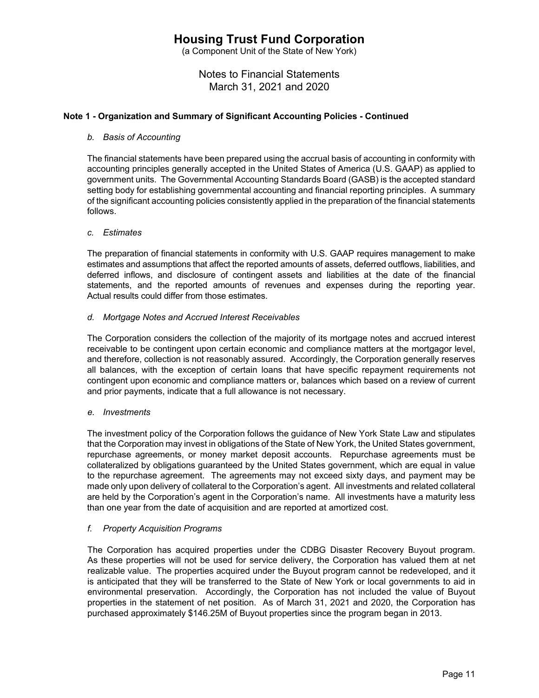(a Component Unit of the State of New York)

Notes to Financial Statements March 31, 2021 and 2020

### **Note 1 - Organization and Summary of Significant Accounting Policies - Continued**

#### *b. Basis of Accounting*

The financial statements have been prepared using the accrual basis of accounting in conformity with accounting principles generally accepted in the United States of America (U.S. GAAP) as applied to government units. The Governmental Accounting Standards Board (GASB) is the accepted standard setting body for establishing governmental accounting and financial reporting principles. A summary of the significant accounting policies consistently applied in the preparation of the financial statements follows.

#### *c. Estimates*

The preparation of financial statements in conformity with U.S. GAAP requires management to make estimates and assumptions that affect the reported amounts of assets, deferred outflows, liabilities, and deferred inflows, and disclosure of contingent assets and liabilities at the date of the financial statements, and the reported amounts of revenues and expenses during the reporting year. Actual results could differ from those estimates.

### *d. Mortgage Notes and Accrued Interest Receivables*

The Corporation considers the collection of the majority of its mortgage notes and accrued interest receivable to be contingent upon certain economic and compliance matters at the mortgagor level, and therefore, collection is not reasonably assured. Accordingly, the Corporation generally reserves all balances, with the exception of certain loans that have specific repayment requirements not contingent upon economic and compliance matters or, balances which based on a review of current and prior payments, indicate that a full allowance is not necessary.

#### *e. Investments*

The investment policy of the Corporation follows the guidance of New York State Law and stipulates that the Corporation may invest in obligations of the State of New York, the United States government, repurchase agreements, or money market deposit accounts. Repurchase agreements must be collateralized by obligations guaranteed by the United States government, which are equal in value to the repurchase agreement. The agreements may not exceed sixty days, and payment may be made only upon delivery of collateral to the Corporation's agent. All investments and related collateral are held by the Corporation's agent in the Corporation's name. All investments have a maturity less than one year from the date of acquisition and are reported at amortized cost.

#### *f. Property Acquisition Programs*

The Corporation has acquired properties under the CDBG Disaster Recovery Buyout program. As these properties will not be used for service delivery, the Corporation has valued them at net realizable value. The properties acquired under the Buyout program cannot be redeveloped, and it is anticipated that they will be transferred to the State of New York or local governments to aid in environmental preservation. Accordingly, the Corporation has not included the value of Buyout properties in the statement of net position. As of March 31, 2021 and 2020, the Corporation has purchased approximately \$146.25M of Buyout properties since the program began in 2013.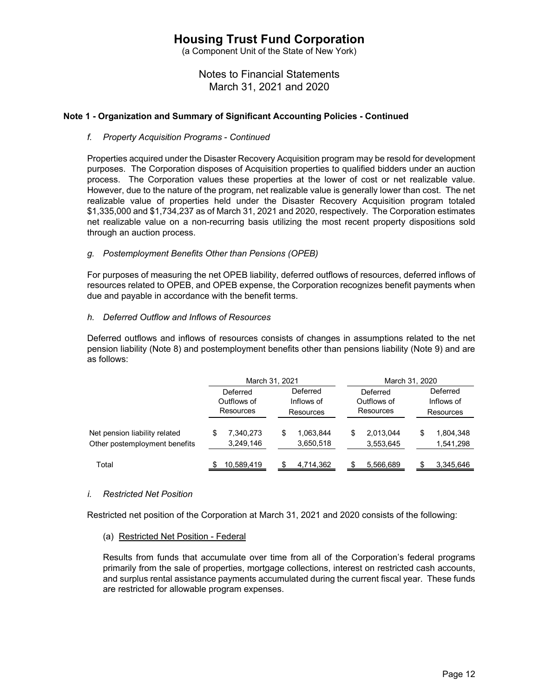(a Component Unit of the State of New York)

Notes to Financial Statements March 31, 2021 and 2020

### **Note 1 - Organization and Summary of Significant Accounting Policies - Continued**

#### *f. Property Acquisition Programs* - *Continued*

Properties acquired under the Disaster Recovery Acquisition program may be resold for development purposes. The Corporation disposes of Acquisition properties to qualified bidders under an auction process. The Corporation values these properties at the lower of cost or net realizable value. However, due to the nature of the program, net realizable value is generally lower than cost. The net realizable value of properties held under the Disaster Recovery Acquisition program totaled \$1,335,000 and \$1,734,237 as of March 31, 2021 and 2020, respectively. The Corporation estimates net realizable value on a non-recurring basis utilizing the most recent property dispositions sold through an auction process.

### *g. Postemployment Benefits Other than Pensions (OPEB)*

For purposes of measuring the net OPEB liability, deferred outflows of resources, deferred inflows of resources related to OPEB, and OPEB expense, the Corporation recognizes benefit payments when due and payable in accordance with the benefit terms.

#### *h. Deferred Outflow and Inflows of Resources*

Deferred outflows and inflows of resources consists of changes in assumptions related to the net pension liability (Note 8) and postemployment benefits other than pensions liability (Note 9) and are as follows:

|                                                                | March 31, 2021                       |                                     | March 31, 2020                       |                                            |  |  |
|----------------------------------------------------------------|--------------------------------------|-------------------------------------|--------------------------------------|--------------------------------------------|--|--|
|                                                                | Deferred<br>Outflows of<br>Resources | Deferred<br>Inflows of<br>Resources | Deferred<br>Outflows of<br>Resources | Deferred<br>Inflows of<br><b>Resources</b> |  |  |
| Net pension liability related<br>Other postemployment benefits | 7,340,273<br>\$<br>3,249,146         | 1,063,844<br>\$<br>3,650,518        | 2,013,044<br>3,553,645               | 1,804,348<br>\$<br>1,541,298               |  |  |
| Total                                                          | 10,589,419                           | 4,714,362                           | 5,566,689                            | 3,345,646                                  |  |  |

#### *i. Restricted Net Position*

Restricted net position of the Corporation at March 31, 2021 and 2020 consists of the following:

(a) Restricted Net Position - Federal

Results from funds that accumulate over time from all of the Corporation's federal programs primarily from the sale of properties, mortgage collections, interest on restricted cash accounts, and surplus rental assistance payments accumulated during the current fiscal year. These funds are restricted for allowable program expenses.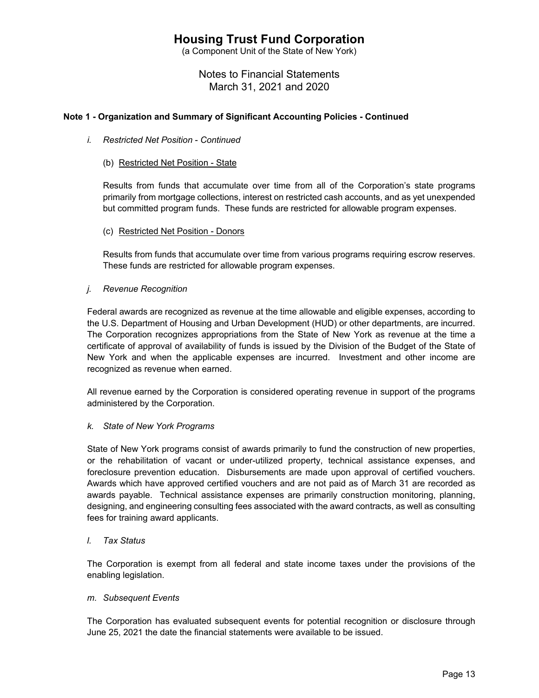(a Component Unit of the State of New York)

Notes to Financial Statements March 31, 2021 and 2020

## **Note 1 - Organization and Summary of Significant Accounting Policies - Continued**

- *i. Restricted Net Position Continued*
	- (b) Restricted Net Position State

Results from funds that accumulate over time from all of the Corporation's state programs primarily from mortgage collections, interest on restricted cash accounts, and as yet unexpended but committed program funds. These funds are restricted for allowable program expenses.

(c) Restricted Net Position - Donors

Results from funds that accumulate over time from various programs requiring escrow reserves. These funds are restricted for allowable program expenses.

*j. Revenue Recognition* 

Federal awards are recognized as revenue at the time allowable and eligible expenses, according to the U.S. Department of Housing and Urban Development (HUD) or other departments, are incurred. The Corporation recognizes appropriations from the State of New York as revenue at the time a certificate of approval of availability of funds is issued by the Division of the Budget of the State of New York and when the applicable expenses are incurred. Investment and other income are recognized as revenue when earned.

All revenue earned by the Corporation is considered operating revenue in support of the programs administered by the Corporation.

#### *k. State of New York Programs*

State of New York programs consist of awards primarily to fund the construction of new properties, or the rehabilitation of vacant or under-utilized property, technical assistance expenses, and foreclosure prevention education. Disbursements are made upon approval of certified vouchers. Awards which have approved certified vouchers and are not paid as of March 31 are recorded as awards payable. Technical assistance expenses are primarily construction monitoring, planning, designing, and engineering consulting fees associated with the award contracts, as well as consulting fees for training award applicants.

## *l. Tax Status*

The Corporation is exempt from all federal and state income taxes under the provisions of the enabling legislation.

#### *m. Subsequent Events*

The Corporation has evaluated subsequent events for potential recognition or disclosure through June 25, 2021 the date the financial statements were available to be issued.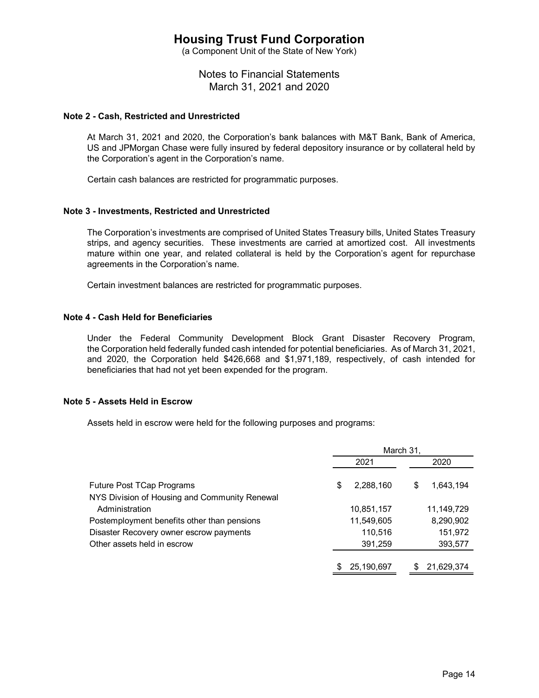(a Component Unit of the State of New York)

Notes to Financial Statements March 31, 2021 and 2020

#### **Note 2 - Cash, Restricted and Unrestricted**

At March 31, 2021 and 2020, the Corporation's bank balances with M&T Bank, Bank of America, US and JPMorgan Chase were fully insured by federal depository insurance or by collateral held by the Corporation's agent in the Corporation's name.

Certain cash balances are restricted for programmatic purposes.

#### **Note 3 - Investments, Restricted and Unrestricted**

The Corporation's investments are comprised of United States Treasury bills, United States Treasury strips, and agency securities. These investments are carried at amortized cost. All investments mature within one year, and related collateral is held by the Corporation's agent for repurchase agreements in the Corporation's name.

Certain investment balances are restricted for programmatic purposes.

#### **Note 4 - Cash Held for Beneficiaries**

Under the Federal Community Development Block Grant Disaster Recovery Program, the Corporation held federally funded cash intended for potential beneficiaries. As of March 31, 2021, and 2020, the Corporation held \$426,668 and \$1,971,189, respectively, of cash intended for beneficiaries that had not yet been expended for the program.

#### **Note 5 - Assets Held in Escrow**

Assets held in escrow were held for the following purposes and programs:

|                                               | March 31, |            |   |            |
|-----------------------------------------------|-----------|------------|---|------------|
|                                               |           | 2021       |   | 2020       |
| <b>Future Post TCap Programs</b>              | \$        | 2,288,160  | S | 1,643,194  |
| NYS Division of Housing and Community Renewal |           |            |   |            |
| Administration                                |           | 10,851,157 |   | 11,149,729 |
| Postemployment benefits other than pensions   |           | 11,549,605 |   | 8,290,902  |
| Disaster Recovery owner escrow payments       |           | 110,516    |   | 151,972    |
| Other assets held in escrow                   |           | 391,259    |   | 393,577    |
|                                               |           |            |   |            |
|                                               | \$        | 25,190,697 |   | 21,629,374 |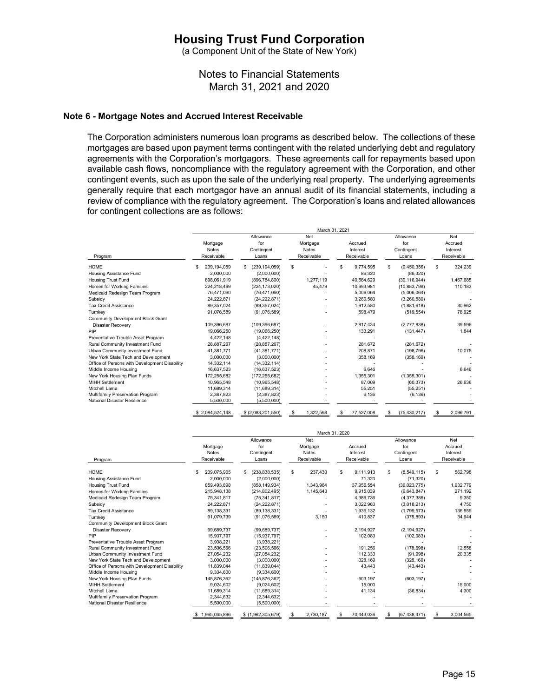(a Component Unit of the State of New York)

Notes to Financial Statements March 31, 2021 and 2020

#### **Note 6 - Mortgage Notes and Accrued Interest Receivable**

The Corporation administers numerous loan programs as described below. The collections of these mortgages are based upon payment terms contingent with the related underlying debt and regulatory agreements with the Corporation's mortgagors. These agreements call for repayments based upon available cash flows, noncompliance with the regulatory agreement with the Corporation, and other contingent events, such as upon the sale of the underlying real property. The underlying agreements generally require that each mortgagor have an annual audit of its financial statements, including a review of compliance with the regulatory agreement. The Corporation's loans and related allowances for contingent collections are as follows:

|                                               |                      |                    | March 31, 2021 |                  |                     |                 |
|-----------------------------------------------|----------------------|--------------------|----------------|------------------|---------------------|-----------------|
|                                               |                      | Allowance          | Net            |                  | Allowance           | Net             |
|                                               | Mortgage             | for                | Mortgage       | Accrued          | for                 | Accrued         |
|                                               | <b>Notes</b>         | Contingent         | <b>Notes</b>   | Interest         | Contingent          | Interest        |
| Program                                       | Receivable           | Loans              | Receivable     | Receivable       | Loans               | Receivable      |
| <b>HOME</b>                                   | 239, 194, 059<br>\$. | (239, 194, 059)    | \$             | 9,774,595<br>\$. | \$<br>(9,450,356)   | S<br>324,239    |
| Housing Assistance Fund                       | 2,000,000            | (2,000,000)        |                | 86,320           | (86, 320)           |                 |
| <b>Housing Trust Fund</b>                     | 898,061,919          | (896, 784, 800)    | 1,277,119      | 40,584,629       | (39, 116, 944)      | 1,467,685       |
| Homes for Working Families                    | 224,218,499          | (224, 173, 020)    | 45,479         | 10,993,981       | (10, 883, 798)      | 110,183         |
| Medicaid Redesign Team Program                | 76,471,060           | (76, 471, 060)     |                | 5,006,064        | (5,006,064)         |                 |
| Subsidy                                       | 24.222.871           | (24, 222, 871)     |                | 3,260,580        | (3,260,580)         |                 |
| <b>Tax Credit Assistance</b>                  | 89,357,024           | (89, 357, 024)     |                | 1.912.580        | (1,881,618)         | 30,962          |
| Turnkey                                       | 91,076,589           | (91,076,589)       |                | 598,479          | (519, 554)          | 78,925          |
| Community Development Block Grant             |                      |                    |                |                  |                     |                 |
| <b>Disaster Recovery</b>                      | 109,396,687          | (109, 396, 687)    |                | 2,817,434        | (2,777,838)         | 39,596          |
| PIP                                           | 19,066,250           | (19,066,250)       |                | 133,291          | (131, 447)          | 1,844           |
| Preventative Trouble Asset Program            | 4,422,148            | (4, 422, 148)      |                |                  |                     |                 |
| Rural Community Investment Fund               | 28.887.267           | (28.887.267)       |                | 281.672          | (281, 672)          |                 |
| Urban Community Investment Fund               | 41.381.771           | (41, 381, 771)     |                | 208.871          | (198, 796)          | 10,075          |
| New York State Tech and Development           | 3.000.000            | (3.000.000)        |                | 358,169          | (358, 169)          |                 |
| Office of Persons with Development Disability | 14,332,114           | (14, 332, 114)     |                |                  |                     |                 |
| Middle Income Housing                         | 16,637,523           | (16,637,523)       |                | 6,646            |                     | 6.646           |
| New York Housing Plan Funds                   | 172.255.682          | (172.255.682)      |                | 1.355.301        | (1,355,301)         |                 |
| <b>MIHH Settlement</b>                        | 10.965.548           | (10, 965, 548)     |                | 87,009           | (60, 373)           | 26.636          |
| Mitchell Lama                                 | 11,689,314           | (11,689,314)       |                | 55,251           | (55, 251)           |                 |
| Multifamily Preservation Program              | 2,387,823            | (2,387,823)        |                | 6,136            | (6, 136)            |                 |
| National Disaster Resilience                  | 5,500,000            | (5,500,000)        |                |                  |                     |                 |
|                                               | \$2,084,524,148      | \$ (2,083,201,550) | 1.322.598<br>S | 77.527.008<br>S  | (75, 430, 217)<br>S | 2.096.791<br>£. |

|                                               |                     |                       |                  | March 31, 2020   |                      |                |
|-----------------------------------------------|---------------------|-----------------------|------------------|------------------|----------------------|----------------|
|                                               |                     | Allowance             | Net              |                  | Allowance            | Net            |
|                                               | Mortgage            | for                   | Mortgage         | Accrued          | for                  | Accrued        |
|                                               | <b>Notes</b>        | Contingent            | <b>Notes</b>     | Interest         | Contingent           | Interest       |
| Program                                       | Receivable          | Loans                 | Receivable       | Receivable       | Loans                | Receivable     |
| <b>HOME</b>                                   | \$<br>239.075.965   | (238, 838, 535)<br>\$ | 237,430<br>s.    | 9.111.913<br>\$. | \$<br>(8,549,115)    | \$<br>562,798  |
| Housing Assistance Fund                       | 2,000,000           | (2,000,000)           |                  | 71.320           | (71, 320)            |                |
| <b>Housing Trust Fund</b>                     | 859.493.898         | (858.149.934)         | 1.343.964        | 37.956.554       | (36.023.775)         | 1.932.779      |
| Homes for Working Families                    | 215,948,138         | (214, 802, 495)       | 1,145,643        | 9,915,039        | (9,643,847)          | 271,192        |
| Medicaid Redesign Team Program                | 75,341,817          | (75, 341, 817)        |                  | 4,386,736        | (4,377,386)          | 9,350          |
| Subsidy                                       | 24.222.871          | (24, 222, 871)        |                  | 3.022.963        | (3,018,213)          | 4.750          |
| <b>Tax Credit Assistance</b>                  | 89,138,331          | (89, 138, 331)        |                  | 1,936,132        | (1,799,573)          | 136,559        |
| Turnkey                                       | 91,079,739          | (91,076,589)          | 3.150            | 410.837          | (375, 893)           | 34,944         |
| <b>Community Development Block Grant</b>      |                     |                       |                  |                  |                      |                |
| <b>Disaster Recovery</b>                      | 99,689,737          | (99, 689, 737)        |                  | 2,194,927        | (2, 194, 927)        |                |
| PIP                                           | 15.937.797          | (15.937.797)          |                  | 102.083          | (102, 083)           |                |
| Preventative Trouble Asset Program            | 3,938,221           | (3,938,221)           |                  |                  |                      |                |
| Rural Community Investment Fund               | 23,506,566          | (23, 506, 566)        |                  | 191.256          | (178, 698)           | 12,558         |
| Urban Community Investment Fund               | 27,054,232          | (27,054,232)          |                  | 112,333          | (91,998)             | 20,335         |
| New York State Tech and Development           | 3.000.000           | (3.000.000)           |                  | 328.169          | (328, 169)           |                |
| Office of Persons with Development Disability | 11,839,044          | (11, 839, 044)        |                  | 43.443           | (43, 443)            |                |
| Middle Income Housing                         | 9,334,600           | (9,334,600)           |                  |                  |                      |                |
| New York Housing Plan Funds                   | 145.876.362         | (145.876.362)         |                  | 603.197          | (603, 197)           |                |
| <b>MIHH Settlement</b>                        | 9,024,602           | (9,024,602)           |                  | 15,000           |                      | 15,000         |
| Mitchell Lama                                 | 11,689,314          | (11,689,314)          |                  | 41,134           | (36, 834)            | 4,300          |
| Multifamily Preservation Program              | 2,344,632           | (2,344,632)           |                  |                  |                      |                |
| National Disaster Resilience                  | 5,500,000           | (5,500,000)           |                  |                  |                      |                |
|                                               | 1,965,035,866<br>\$ | \$ (1,962,305,679)    | 2,730,187<br>\$. | 70,443,036<br>\$ | (67, 438, 471)<br>\$ | s<br>3.004.565 |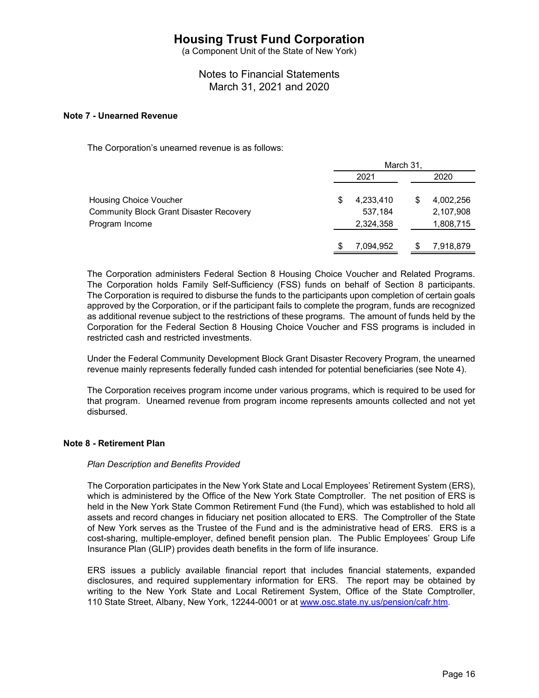(a Component Unit of the State of New York)

Notes to Financial Statements March 31, 2021 and 2020

#### **Note 7 - Unearned Revenue**

The Corporation's unearned revenue is as follows:

|                                                | March 31, |           |  |           |
|------------------------------------------------|-----------|-----------|--|-----------|
|                                                |           | 2021      |  | 2020      |
| Housing Choice Voucher                         | \$        | 4,233,410 |  | 4,002,256 |
| <b>Community Block Grant Disaster Recovery</b> |           | 537,184   |  | 2,107,908 |
| Program Income                                 |           | 2,324,358 |  | 1,808,715 |
|                                                | \$        | 7,094,952 |  | 7,918,879 |

The Corporation administers Federal Section 8 Housing Choice Voucher and Related Programs. The Corporation holds Family Self-Sufficiency (FSS) funds on behalf of Section 8 participants. The Corporation is required to disburse the funds to the participants upon completion of certain goals approved by the Corporation, or if the participant fails to complete the program, funds are recognized as additional revenue subject to the restrictions of these programs. The amount of funds held by the Corporation for the Federal Section 8 Housing Choice Voucher and FSS programs is included in restricted cash and restricted investments.

Under the Federal Community Development Block Grant Disaster Recovery Program, the unearned revenue mainly represents federally funded cash intended for potential beneficiaries (see Note 4).

The Corporation receives program income under various programs, which is required to be used for that program. Unearned revenue from program income represents amounts collected and not yet disbursed.

#### **Note 8 - Retirement Plan**

#### *Plan Description and Benefits Provided*

The Corporation participates in the New York State and Local Employees' Retirement System (ERS), which is administered by the Office of the New York State Comptroller. The net position of ERS is held in the New York State Common Retirement Fund (the Fund), which was established to hold all assets and record changes in fiduciary net position allocated to ERS. The Comptroller of the State of New York serves as the Trustee of the Fund and is the administrative head of ERS. ERS is a cost-sharing, multiple-employer, defined benefit pension plan. The Public Employees' Group Life Insurance Plan (GLIP) provides death benefits in the form of life insurance.

ERS issues a publicly available financial report that includes financial statements, expanded disclosures, and required supplementary information for ERS. The report may be obtained by writing to the New York State and Local Retirement System, Office of the State Comptroller, 110 State Street, Albany, New York, 12244-0001 or at www.osc.state.ny.us/pension/cafr.htm.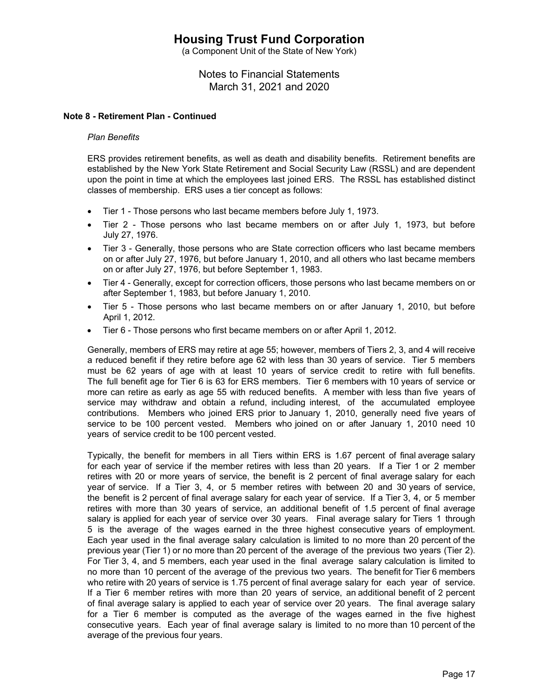(a Component Unit of the State of New York)

Notes to Financial Statements March 31, 2021 and 2020

### **Note 8 - Retirement Plan - Continued**

#### *Plan Benefits*

ERS provides retirement benefits, as well as death and disability benefits. Retirement benefits are established by the New York State Retirement and Social Security Law (RSSL) and are dependent upon the point in time at which the employees last joined ERS. The RSSL has established distinct classes of membership. ERS uses a tier concept as follows:

- Tier 1 Those persons who last became members before July 1, 1973.
- Tier 2 Those persons who last became members on or after July 1, 1973, but before July 27, 1976.
- Tier 3 Generally, those persons who are State correction officers who last became members on or after July 27, 1976, but before January 1, 2010, and all others who last became members on or after July 27, 1976, but before September 1, 1983.
- Tier 4 Generally, except for correction officers, those persons who last became members on or after September 1, 1983, but before January 1, 2010.
- Tier 5 Those persons who last became members on or after January 1, 2010, but before April 1, 2012.
- Tier 6 Those persons who first became members on or after April 1, 2012.

Generally, members of ERS may retire at age 55; however, members of Tiers 2, 3, and 4 will receive a reduced benefit if they retire before age 62 with less than 30 years of service. Tier 5 members must be 62 years of age with at least 10 years of service credit to retire with full benefits. The full benefit age for Tier 6 is 63 for ERS members. Tier 6 members with 10 years of service or more can retire as early as age 55 with reduced benefits. A member with less than five years of service may withdraw and obtain a refund, including interest, of the accumulated employee contributions. Members who joined ERS prior to January 1, 2010, generally need five years of service to be 100 percent vested. Members who joined on or after January 1, 2010 need 10 years of service credit to be 100 percent vested.

Typically, the benefit for members in all Tiers within ERS is 1.67 percent of final average salary for each year of service if the member retires with less than 20 years. If a Tier 1 or 2 member retires with 20 or more years of service, the benefit is 2 percent of final average salary for each year of service. If a Tier 3, 4, or 5 member retires with between 20 and 30 years of service, the benefit is 2 percent of final average salary for each year of service. If a Tier 3, 4, or 5 member retires with more than 30 years of service, an additional benefit of 1.5 percent of final average salary is applied for each year of service over 30 years. Final average salary for Tiers 1 through 5 is the average of the wages earned in the three highest consecutive years of employment. Each year used in the final average salary calculation is limited to no more than 20 percent of the previous year (Tier 1) or no more than 20 percent of the average of the previous two years (Tier 2). For Tier 3, 4, and 5 members, each year used in the final average salary calculation is limited to no more than 10 percent of the average of the previous two years. The benefit for Tier 6 members who retire with 20 years of service is 1.75 percent of final average salary for each year of service. If a Tier 6 member retires with more than 20 years of service, an additional benefit of 2 percent of final average salary is applied to each year of service over 20 years. The final average salary for a Tier 6 member is computed as the average of the wages earned in the five highest consecutive years. Each year of final average salary is limited to no more than 10 percent of the average of the previous four years.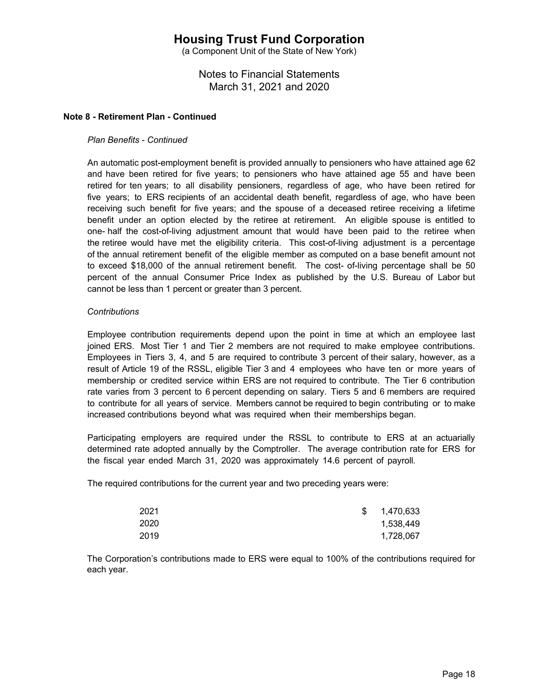(a Component Unit of the State of New York)

Notes to Financial Statements March 31, 2021 and 2020

### **Note 8 - Retirement Plan - Continued**

### *Plan Benefits* - *Continued*

An automatic post-employment benefit is provided annually to pensioners who have attained age 62 and have been retired for five years; to pensioners who have attained age 55 and have been retired for ten years; to all disability pensioners, regardless of age, who have been retired for five years; to ERS recipients of an accidental death benefit, regardless of age, who have been receiving such benefit for five years; and the spouse of a deceased retiree receiving a lifetime benefit under an option elected by the retiree at retirement. An eligible spouse is entitled to one- half the cost-of-living adjustment amount that would have been paid to the retiree when the retiree would have met the eligibility criteria. This cost-of-living adjustment is a percentage of the annual retirement benefit of the eligible member as computed on a base benefit amount not to exceed \$18,000 of the annual retirement benefit. The cost- of-living percentage shall be 50 percent of the annual Consumer Price Index as published by the U.S. Bureau of Labor but cannot be less than 1 percent or greater than 3 percent.

### *Contributions*

Employee contribution requirements depend upon the point in time at which an employee last joined ERS. Most Tier 1 and Tier 2 members are not required to make employee contributions. Employees in Tiers 3, 4, and 5 are required to contribute 3 percent of their salary, however, as a result of Article 19 of the RSSL, eligible Tier 3 and 4 employees who have ten or more years of membership or credited service within ERS are not required to contribute. The Tier 6 contribution rate varies from 3 percent to 6 percent depending on salary. Tiers 5 and 6 members are required to contribute for all years of service. Members cannot be required to begin contributing or to make increased contributions beyond what was required when their memberships began.

Participating employers are required under the RSSL to contribute to ERS at an actuarially determined rate adopted annually by the Comptroller. The average contribution rate for ERS for the fiscal year ended March 31, 2020 was approximately 14.6 percent of payroll.

The required contributions for the current year and two preceding years were:

| 2021 | S. | 1,470,633 |
|------|----|-----------|
| 2020 |    | 1,538,449 |
| 2019 |    | 1,728,067 |

The Corporation's contributions made to ERS were equal to 100% of the contributions required for each year.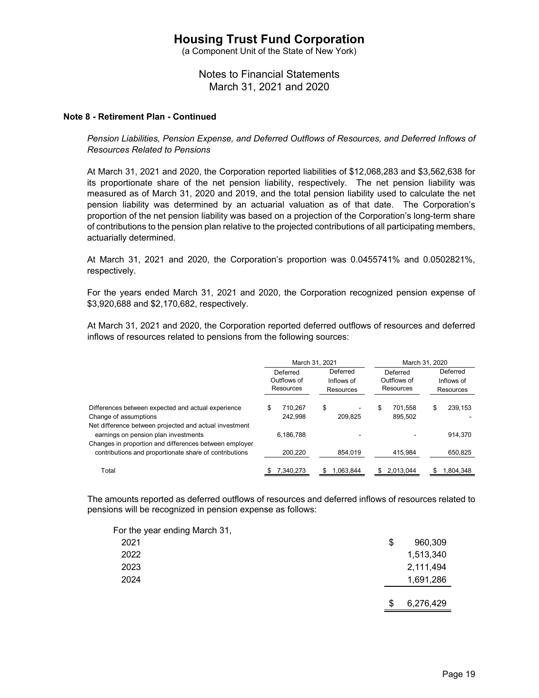(a Component Unit of the State of New York)

# Notes to Financial Statements March 31, 2021 and 2020

#### **Note 8 - Retirement Plan - Continued**

*Pension Liabilities, Pension Expense, and Deferred Outflows of Resources, and Deferred Inflows of Resources Related to Pensions* 

At March 31, 2021 and 2020, the Corporation reported liabilities of \$12,068,283 and \$3,562,638 for its proportionate share of the net pension liability, respectively. The net pension liability was measured as of March 31, 2020 and 2019, and the total pension liability used to calculate the net pension liability was determined by an actuarial valuation as of that date. The Corporation's proportion of the net pension liability was based on a projection of the Corporation's long-term share of contributions to the pension plan relative to the projected contributions of all participating members, actuarially determined.

At March 31, 2021 and 2020, the Corporation's proportion was 0.0455741% and 0.0502821%, respectively.

For the years ended March 31, 2021 and 2020, the Corporation recognized pension expense of \$3,920,688 and \$2,170,682, respectively.

At March 31, 2021 and 2020, the Corporation reported deferred outflows of resources and deferred inflows of resources related to pensions from the following sources:

|                                                                                                                                                          | March 31, 2021 |                                      |                                     |           |                                      | March 31, 2020     |                                     |           |  |
|----------------------------------------------------------------------------------------------------------------------------------------------------------|----------------|--------------------------------------|-------------------------------------|-----------|--------------------------------------|--------------------|-------------------------------------|-----------|--|
|                                                                                                                                                          |                | Deferred<br>Outflows of<br>Resources | Deferred<br>Inflows of<br>Resources |           | Deferred<br>Outflows of<br>Resources |                    | Deferred<br>Inflows of<br>Resources |           |  |
| Differences between expected and actual experience<br>Change of assumptions                                                                              | \$             | 710.267<br>242.998                   | \$                                  | 209.825   | \$                                   | 701.558<br>895.502 | \$                                  | 239.153   |  |
| Net difference between projected and actual investment<br>earnings on pension plan investments<br>Changes in proportion and differences between employer |                | 6.186.788                            |                                     |           |                                      |                    |                                     | 914,370   |  |
| contributions and proportionate share of contributions                                                                                                   |                | 200.220                              |                                     | 854.019   |                                      | 415.984            |                                     | 650,825   |  |
| Total                                                                                                                                                    |                | 7.340.273                            |                                     | 1.063.844 |                                      | 2.013.044          |                                     | 1.804.348 |  |

The amounts reported as deferred outflows of resources and deferred inflows of resources related to pensions will be recognized in pension expense as follows:

| For the year ending March 31, |    |           |
|-------------------------------|----|-----------|
| 2021                          | \$ | 960,309   |
| 2022                          |    | 1,513,340 |
| 2023                          |    | 2,111,494 |
| 2024                          |    | 1,691,286 |
|                               |    |           |
|                               | S  | 6,276,429 |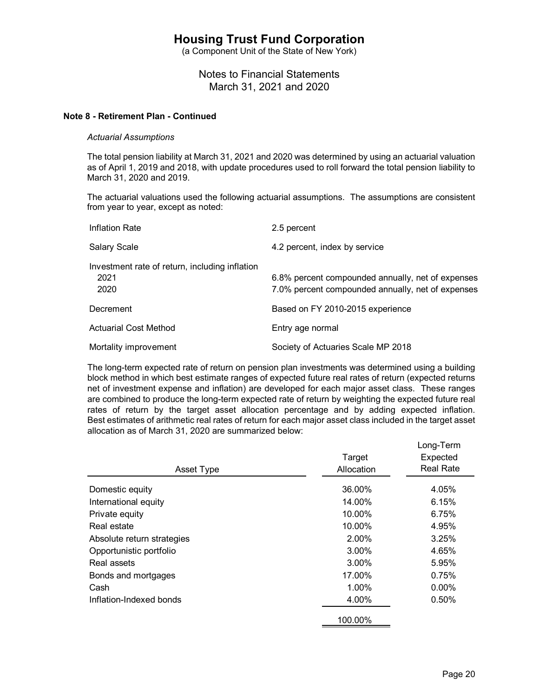(a Component Unit of the State of New York)

Notes to Financial Statements March 31, 2021 and 2020

### **Note 8 - Retirement Plan - Continued**

#### *Actuarial Assumptions*

The total pension liability at March 31, 2021 and 2020 was determined by using an actuarial valuation as of April 1, 2019 and 2018, with update procedures used to roll forward the total pension liability to March 31, 2020 and 2019.

The actuarial valuations used the following actuarial assumptions. The assumptions are consistent from year to year, except as noted:

| Inflation Rate                                                 | 2.5 percent                                                                                            |
|----------------------------------------------------------------|--------------------------------------------------------------------------------------------------------|
| <b>Salary Scale</b>                                            | 4.2 percent, index by service                                                                          |
| Investment rate of return, including inflation<br>2021<br>2020 | 6.8% percent compounded annually, net of expenses<br>7.0% percent compounded annually, net of expenses |
| Decrement                                                      | Based on FY 2010-2015 experience                                                                       |
| <b>Actuarial Cost Method</b>                                   | Entry age normal                                                                                       |
| Mortality improvement                                          | Society of Actuaries Scale MP 2018                                                                     |

The long-term expected rate of return on pension plan investments was determined using a building block method in which best estimate ranges of expected future real rates of return (expected returns net of investment expense and inflation) are developed for each major asset class. These ranges are combined to produce the long-term expected rate of return by weighting the expected future real rates of return by the target asset allocation percentage and by adding expected inflation. Best estimates of arithmetic real rates of return for each major asset class included in the target asset allocation as of March 31, 2020 are summarized below:

| Asset Type                 | Target<br>Allocation | Long-Term<br>Expected<br><b>Real Rate</b> |
|----------------------------|----------------------|-------------------------------------------|
| Domestic equity            | 36.00%               | 4.05%                                     |
| International equity       | 14.00%               | 6.15%                                     |
| Private equity             | 10.00%               | 6.75%                                     |
| Real estate                | 10.00%               | 4.95%                                     |
| Absolute return strategies | 2.00%                | 3.25%                                     |
| Opportunistic portfolio    | 3.00%                | 4.65%                                     |
| Real assets                | 3.00%                | 5.95%                                     |
| Bonds and mortgages        | 17.00%               | 0.75%                                     |
| Cash                       | 1.00%                | $0.00\%$                                  |
| Inflation-Indexed bonds    | 4.00%                | 0.50%                                     |
|                            | 100.00%              |                                           |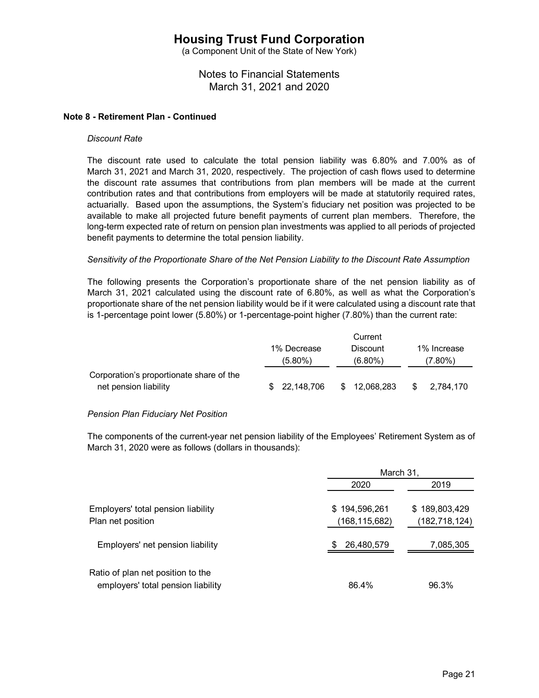(a Component Unit of the State of New York)

# Notes to Financial Statements March 31, 2021 and 2020

### **Note 8 - Retirement Plan - Continued**

#### *Discount Rate*

The discount rate used to calculate the total pension liability was 6.80% and 7.00% as of March 31, 2021 and March 31, 2020, respectively. The projection of cash flows used to determine the discount rate assumes that contributions from plan members will be made at the current contribution rates and that contributions from employers will be made at statutorily required rates, actuarially. Based upon the assumptions, the System's fiduciary net position was projected to be available to make all projected future benefit payments of current plan members. Therefore, the long-term expected rate of return on pension plan investments was applied to all periods of projected benefit payments to determine the total pension liability.

#### *Sensitivity of the Proportionate Share of the Net Pension Liability to the Discount Rate Assumption*

The following presents the Corporation's proportionate share of the net pension liability as of March 31, 2021 calculated using the discount rate of 6.80%, as well as what the Corporation's proportionate share of the net pension liability would be if it were calculated using a discount rate that is 1-percentage point lower (5.80%) or 1-percentage-point higher (7.80%) than the current rate:

|                                          |              | Current         |    |             |
|------------------------------------------|--------------|-----------------|----|-------------|
|                                          | 1% Decrease  | <b>Discount</b> |    | 1% Increase |
|                                          | $(5.80\%)$   | $(6.80\%)$      |    | (7.80%)     |
| Corporation's proportionate share of the |              |                 |    |             |
| net pension liability                    | \$22,148,706 | \$12,068,283    | S. | 2.784.170   |

#### *Pension Plan Fiduciary Net Position*

The components of the current-year net pension liability of the Employees' Retirement System as of March 31, 2020 were as follows (dollars in thousands):

| Employers' net pension liability                                        | March 31,                      |                                  |  |  |
|-------------------------------------------------------------------------|--------------------------------|----------------------------------|--|--|
|                                                                         | 2020                           | 2019                             |  |  |
| Employers' total pension liability<br>Plan net position                 | \$194,596,261<br>(168,115,682) | \$189,803,429<br>(182, 718, 124) |  |  |
|                                                                         | 26,480,579                     | 7,085,305                        |  |  |
| Ratio of plan net position to the<br>employers' total pension liability | 86.4%                          | 96.3%                            |  |  |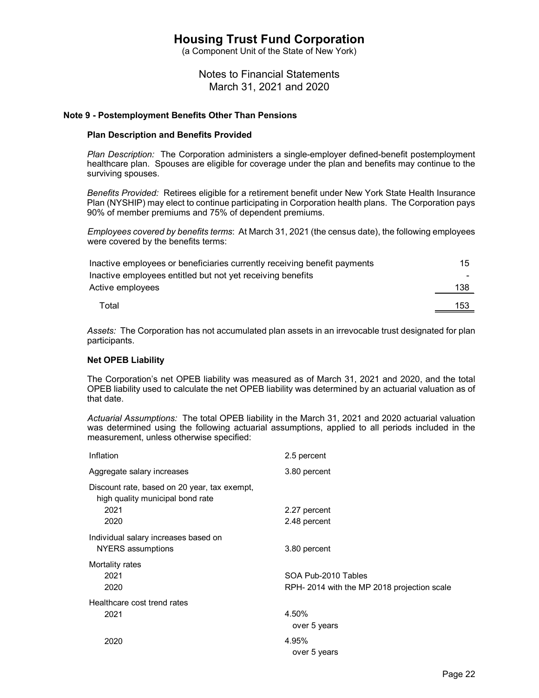(a Component Unit of the State of New York)

Notes to Financial Statements March 31, 2021 and 2020

#### **Note 9 - Postemployment Benefits Other Than Pensions**

#### **Plan Description and Benefits Provided**

*Plan Description:* The Corporation administers a single-employer defined-benefit postemployment healthcare plan. Spouses are eligible for coverage under the plan and benefits may continue to the surviving spouses.

*Benefits Provided:* Retirees eligible for a retirement benefit under New York State Health Insurance Plan (NYSHIP) may elect to continue participating in Corporation health plans. The Corporation pays 90% of member premiums and 75% of dependent premiums.

*Employees covered by benefits terms*: At March 31, 2021 (the census date), the following employees were covered by the benefits terms:

| Inactive employees or beneficiaries currently receiving benefit payments | 15  |
|--------------------------------------------------------------------------|-----|
| Inactive employees entitled but not yet receiving benefits               | -   |
| Active employees                                                         | 138 |
| Total                                                                    | 153 |

*Assets:* The Corporation has not accumulated plan assets in an irrevocable trust designated for plan participants.

#### **Net OPEB Liability**

The Corporation's net OPEB liability was measured as of March 31, 2021 and 2020, and the total OPEB liability used to calculate the net OPEB liability was determined by an actuarial valuation as of that date.

*Actuarial Assumptions:* The total OPEB liability in the March 31, 2021 and 2020 actuarial valuation was determined using the following actuarial assumptions, applied to all periods included in the measurement, unless otherwise specified:

| Inflation                                                                                        | 2.5 percent                                                       |
|--------------------------------------------------------------------------------------------------|-------------------------------------------------------------------|
| Aggregate salary increases                                                                       | 3.80 percent                                                      |
| Discount rate, based on 20 year, tax exempt,<br>high quality municipal bond rate<br>2021<br>2020 | 2.27 percent<br>2.48 percent                                      |
| Individual salary increases based on<br><b>NYERS</b> assumptions                                 | 3.80 percent                                                      |
| Mortality rates<br>2021<br>2020                                                                  | SOA Pub-2010 Tables<br>RPH-2014 with the MP 2018 projection scale |
| Healthcare cost trend rates<br>2021                                                              | 4.50%<br>over 5 years                                             |
| 2020                                                                                             | 4.95%<br>over 5 years                                             |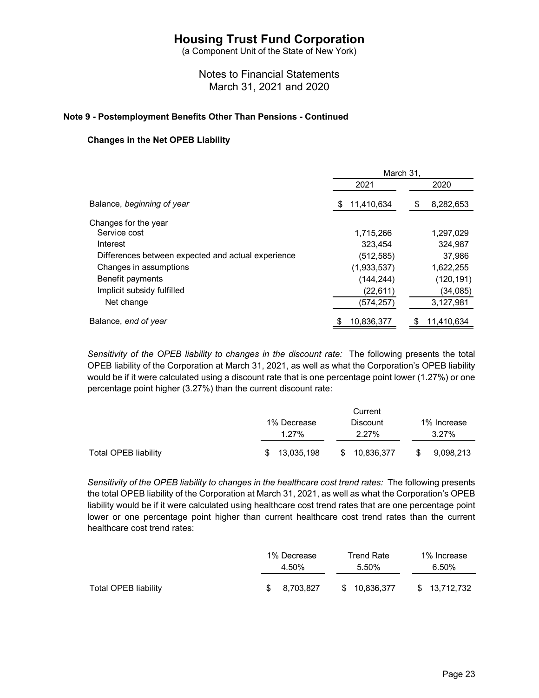(a Component Unit of the State of New York)

# Notes to Financial Statements March 31, 2021 and 2020

### **Note 9 - Postemployment Benefits Other Than Pensions - Continued**

### **Changes in the Net OPEB Liability**

|                                                    | March 31,         |            |  |  |  |  |
|----------------------------------------------------|-------------------|------------|--|--|--|--|
|                                                    | 2021              | 2020       |  |  |  |  |
| Balance, beginning of year                         | 11,410,634<br>\$. | 8,282,653  |  |  |  |  |
| Changes for the year                               |                   |            |  |  |  |  |
| Service cost                                       | 1,715,266         | 1,297,029  |  |  |  |  |
| Interest                                           | 323.454           | 324,987    |  |  |  |  |
| Differences between expected and actual experience | (512,585)         | 37,986     |  |  |  |  |
| Changes in assumptions                             | (1,933,537)       | 1,622,255  |  |  |  |  |
| Benefit payments                                   | (144, 244)        | (120, 191) |  |  |  |  |
| Implicit subsidy fulfilled                         | (22, 611)         | (34,085)   |  |  |  |  |
| Net change                                         | (574,257)         | 3,127,981  |  |  |  |  |
| Balance, end of year                               | 10,836,377        | 11,410,634 |  |  |  |  |
|                                                    |                   |            |  |  |  |  |

*Sensitivity of the OPEB liability to changes in the discount rate:* The following presents the total OPEB liability of the Corporation at March 31, 2021, as well as what the Corporation's OPEB liability would be if it were calculated using a discount rate that is one percentage point lower (1.27%) or one percentage point higher (3.27%) than the current discount rate:

|                      |                         | Current                  |                      |  |  |  |  |  |
|----------------------|-------------------------|--------------------------|----------------------|--|--|--|--|--|
|                      | 1% Decrease<br>$1.27\%$ | <b>Discount</b><br>2.27% | 1% Increase<br>3.27% |  |  |  |  |  |
| Total OPEB liability | 13,035,198<br>S.        | \$ 10,836,377            | 9,098,213<br>\$.     |  |  |  |  |  |

*Sensitivity of the OPEB liability to changes in the healthcare cost trend rates:* The following presents the total OPEB liability of the Corporation at March 31, 2021, as well as what the Corporation's OPEB liability would be if it were calculated using healthcare cost trend rates that are one percentage point lower or one percentage point higher than current healthcare cost trend rates than the current healthcare cost trend rates:

|                      | 1% Decrease |              |  | Trend Rate    |  | 1% Increase   |  |
|----------------------|-------------|--------------|--|---------------|--|---------------|--|
|                      | 4.50%       |              |  | 5.50%         |  | 6.50%         |  |
| Total OPEB liability |             | \$ 8.703.827 |  | \$ 10.836.377 |  | \$ 13.712.732 |  |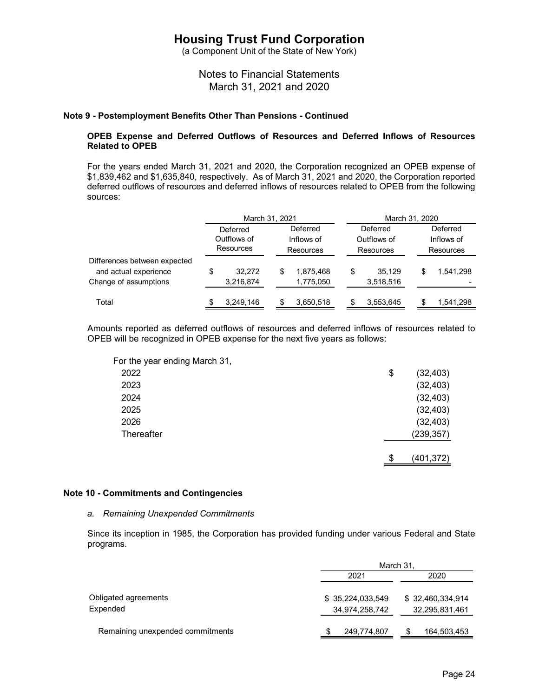(a Component Unit of the State of New York)

Notes to Financial Statements March 31, 2021 and 2020

### **Note 9 - Postemployment Benefits Other Than Pensions - Continued**

### **OPEB Expense and Deferred Outflows of Resources and Deferred Inflows of Resources Related to OPEB**

For the years ended March 31, 2021 and 2020, the Corporation recognized an OPEB expense of \$1,839,462 and \$1,635,840, respectively. As of March 31, 2021 and 2020, the Corporation reported deferred outflows of resources and deferred inflows of resources related to OPEB from the following sources:

|                              | March 31, 2021 |           |            | March 31, 2020 |           |             |    |            |
|------------------------------|----------------|-----------|------------|----------------|-----------|-------------|----|------------|
|                              | Deferred       |           | Deferred   |                |           | Deferred    |    | Deferred   |
|                              | Outflows of    |           | Inflows of |                |           | Outflows of |    | Inflows of |
|                              |                | Resources | Resources  |                | Resources |             |    | Resources  |
| Differences between expected |                |           |            |                |           |             |    |            |
| and actual experience        | \$             | 32.272    | S          | 1.875.468      | \$        | 35.129      | \$ | 1.541.298  |
| Change of assumptions        |                | 3,216,874 |            | 1,775,050      |           | 3,518,516   |    |            |
|                              |                |           |            |                |           |             |    |            |
| Total                        |                | 3,249,146 |            | 3,650,518      |           | 3,553,645   |    | 1,541,298  |

Amounts reported as deferred outflows of resources and deferred inflows of resources related to OPEB will be recognized in OPEB expense for the next five years as follows:

| For the year ending March 31, |                 |
|-------------------------------|-----------------|
| 2022                          | \$<br>(32, 403) |
| 2023                          | (32, 403)       |
| 2024                          | (32, 403)       |
| 2025                          | (32, 403)       |
| 2026                          | (32, 403)       |
| Thereafter                    | (239, 357)      |
|                               |                 |
|                               | \$<br>(401,372) |

#### **Note 10 - Commitments and Contingencies**

#### *a. Remaining Unexpended Commitments*

Since its inception in 1985, the Corporation has provided funding under various Federal and State programs.

|                  | March 31,                           |  |  |  |  |
|------------------|-------------------------------------|--|--|--|--|
| 2021             | 2020                                |  |  |  |  |
| \$35,224,033,549 | \$32,460,334,914<br>32,295,831,461  |  |  |  |  |
|                  | 164,503,453                         |  |  |  |  |
|                  | 34,974,258,742<br>249,774,807<br>\$ |  |  |  |  |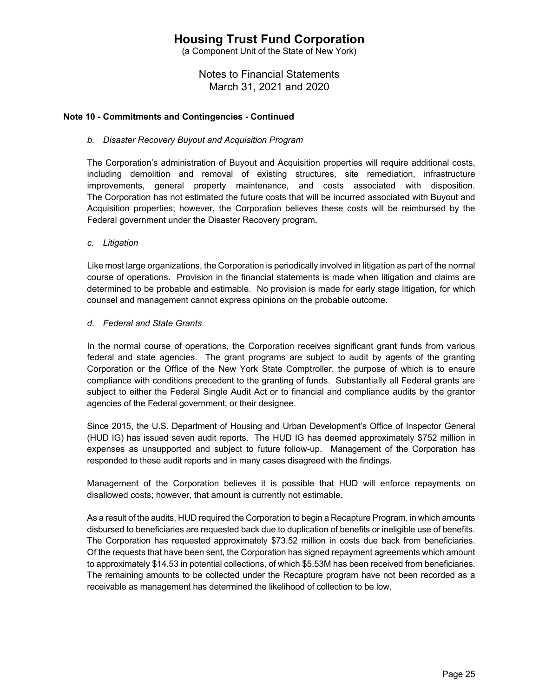(a Component Unit of the State of New York)

Notes to Financial Statements March 31, 2021 and 2020

### **Note 10 - Commitments and Contingencies - Continued**

### *b. Disaster Recovery Buyout and Acquisition Program*

The Corporation's administration of Buyout and Acquisition properties will require additional costs, including demolition and removal of existing structures, site remediation, infrastructure improvements, general property maintenance, and costs associated with disposition. The Corporation has not estimated the future costs that will be incurred associated with Buyout and Acquisition properties; however, the Corporation believes these costs will be reimbursed by the Federal government under the Disaster Recovery program.

### *c. Litigation*

Like most large organizations, the Corporation is periodically involved in litigation as part of the normal course of operations. Provision in the financial statements is made when litigation and claims are determined to be probable and estimable. No provision is made for early stage litigation, for which counsel and management cannot express opinions on the probable outcome.

#### *d. Federal and State Grants*

In the normal course of operations, the Corporation receives significant grant funds from various federal and state agencies. The grant programs are subject to audit by agents of the granting Corporation or the Office of the New York State Comptroller, the purpose of which is to ensure compliance with conditions precedent to the granting of funds. Substantially all Federal grants are subject to either the Federal Single Audit Act or to financial and compliance audits by the grantor agencies of the Federal government, or their designee.

Since 2015, the U.S. Department of Housing and Urban Development's Office of Inspector General (HUD IG) has issued seven audit reports. The HUD IG has deemed approximately \$752 million in expenses as unsupported and subject to future follow-up. Management of the Corporation has responded to these audit reports and in many cases disagreed with the findings.

Management of the Corporation believes it is possible that HUD will enforce repayments on disallowed costs; however, that amount is currently not estimable.

As a result of the audits, HUD required the Corporation to begin a Recapture Program, in which amounts disbursed to beneficiaries are requested back due to duplication of benefits or ineligible use of benefits. The Corporation has requested approximately \$73.52 million in costs due back from beneficiaries. Of the requests that have been sent, the Corporation has signed repayment agreements which amount to approximately \$14.53 in potential collections, of which \$5.53M has been received from beneficiaries. The remaining amounts to be collected under the Recapture program have not been recorded as a receivable as management has determined the likelihood of collection to be low.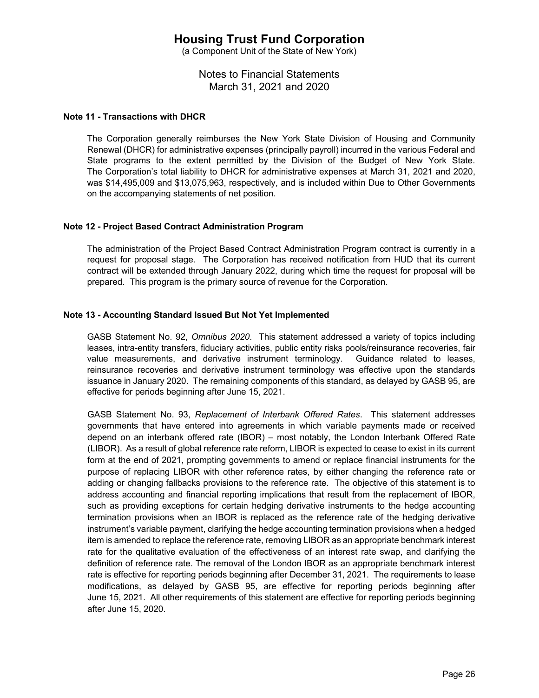(a Component Unit of the State of New York)

Notes to Financial Statements March 31, 2021 and 2020

### **Note 11 - Transactions with DHCR**

The Corporation generally reimburses the New York State Division of Housing and Community Renewal (DHCR) for administrative expenses (principally payroll) incurred in the various Federal and State programs to the extent permitted by the Division of the Budget of New York State. The Corporation's total liability to DHCR for administrative expenses at March 31, 2021 and 2020, was \$14,495,009 and \$13,075,963, respectively, and is included within Due to Other Governments on the accompanying statements of net position.

### **Note 12 - Project Based Contract Administration Program**

The administration of the Project Based Contract Administration Program contract is currently in a request for proposal stage. The Corporation has received notification from HUD that its current contract will be extended through January 2022, during which time the request for proposal will be prepared. This program is the primary source of revenue for the Corporation.

## **Note 13 - Accounting Standard Issued But Not Yet Implemented**

GASB Statement No. 92, *Omnibus 2020*. This statement addressed a variety of topics including leases, intra-entity transfers, fiduciary activities, public entity risks pools/reinsurance recoveries, fair value measurements, and derivative instrument terminology. Guidance related to leases, reinsurance recoveries and derivative instrument terminology was effective upon the standards issuance in January 2020. The remaining components of this standard, as delayed by GASB 95, are effective for periods beginning after June 15, 2021.

GASB Statement No. 93, *Replacement of Interbank Offered Rates*. This statement addresses governments that have entered into agreements in which variable payments made or received depend on an interbank offered rate (IBOR) – most notably, the London Interbank Offered Rate (LIBOR). As a result of global reference rate reform, LIBOR is expected to cease to exist in its current form at the end of 2021, prompting governments to amend or replace financial instruments for the purpose of replacing LIBOR with other reference rates, by either changing the reference rate or adding or changing fallbacks provisions to the reference rate. The objective of this statement is to address accounting and financial reporting implications that result from the replacement of IBOR, such as providing exceptions for certain hedging derivative instruments to the hedge accounting termination provisions when an IBOR is replaced as the reference rate of the hedging derivative instrument's variable payment, clarifying the hedge accounting termination provisions when a hedged item is amended to replace the reference rate, removing LIBOR as an appropriate benchmark interest rate for the qualitative evaluation of the effectiveness of an interest rate swap, and clarifying the definition of reference rate. The removal of the London IBOR as an appropriate benchmark interest rate is effective for reporting periods beginning after December 31, 2021. The requirements to lease modifications, as delayed by GASB 95, are effective for reporting periods beginning after June 15, 2021. All other requirements of this statement are effective for reporting periods beginning after June 15, 2020.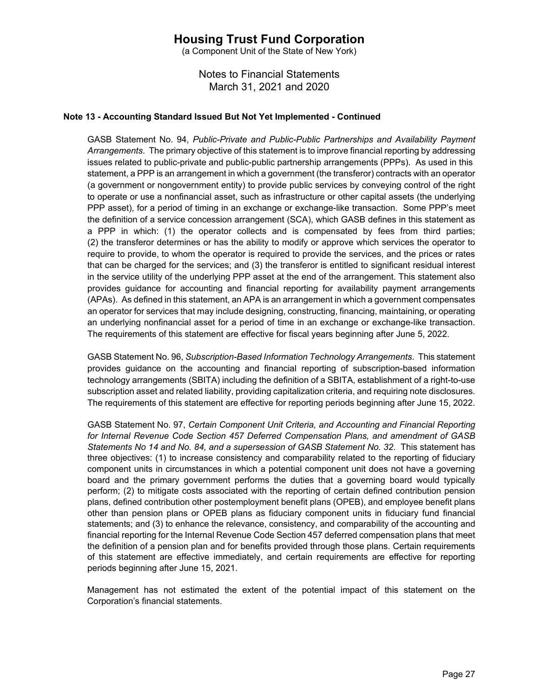(a Component Unit of the State of New York)

Notes to Financial Statements March 31, 2021 and 2020

## **Note 13 - Accounting Standard Issued But Not Yet Implemented - Continued**

GASB Statement No. 94, *Public-Private and Public-Public Partnerships and Availability Payment Arrangements*. The primary objective of this statement is to improve financial reporting by addressing issues related to public-private and public-public partnership arrangements (PPPs). As used in this statement, a PPP is an arrangement in which a government (the transferor) contracts with an operator (a government or nongovernment entity) to provide public services by conveying control of the right to operate or use a nonfinancial asset, such as infrastructure or other capital assets (the underlying PPP asset), for a period of timing in an exchange or exchange-like transaction. Some PPP's meet the definition of a service concession arrangement (SCA), which GASB defines in this statement as a PPP in which: (1) the operator collects and is compensated by fees from third parties; (2) the transferor determines or has the ability to modify or approve which services the operator to require to provide, to whom the operator is required to provide the services, and the prices or rates that can be charged for the services; and (3) the transferor is entitled to significant residual interest in the service utility of the underlying PPP asset at the end of the arrangement. This statement also provides guidance for accounting and financial reporting for availability payment arrangements (APAs). As defined in this statement, an APA is an arrangement in which a government compensates an operator for services that may include designing, constructing, financing, maintaining, or operating an underlying nonfinancial asset for a period of time in an exchange or exchange-like transaction. The requirements of this statement are effective for fiscal years beginning after June 5, 2022.

GASB Statement No. 96, *Subscription-Based Information Technology Arrangements*. This statement provides guidance on the accounting and financial reporting of subscription-based information technology arrangements (SBITA) including the definition of a SBITA, establishment of a right-to-use subscription asset and related liability, providing capitalization criteria, and requiring note disclosures. The requirements of this statement are effective for reporting periods beginning after June 15, 2022.

GASB Statement No. 97, *Certain Component Unit Criteria, and Accounting and Financial Reporting for Internal Revenue Code Section 457 Deferred Compensation Plans, and amendment of GASB Statements No 14 and No. 84, and a supersession of GASB Statement No. 32*. This statement has three objectives: (1) to increase consistency and comparability related to the reporting of fiduciary component units in circumstances in which a potential component unit does not have a governing board and the primary government performs the duties that a governing board would typically perform; (2) to mitigate costs associated with the reporting of certain defined contribution pension plans, defined contribution other postemployment benefit plans (OPEB), and employee benefit plans other than pension plans or OPEB plans as fiduciary component units in fiduciary fund financial statements; and (3) to enhance the relevance, consistency, and comparability of the accounting and financial reporting for the Internal Revenue Code Section 457 deferred compensation plans that meet the definition of a pension plan and for benefits provided through those plans. Certain requirements of this statement are effective immediately, and certain requirements are effective for reporting periods beginning after June 15, 2021.

Management has not estimated the extent of the potential impact of this statement on the Corporation's financial statements.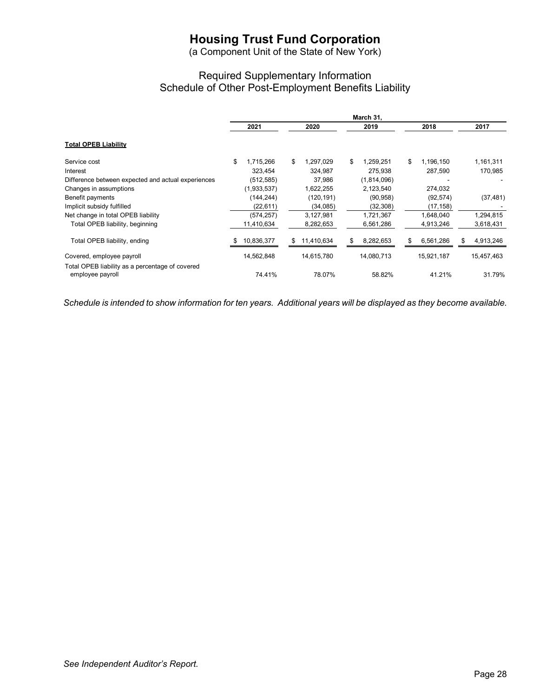(a Component Unit of the State of New York)

# Required Supplementary Information Schedule of Other Post-Employment Benefits Liability

|                                                                     | March 31, |             |    |            |    |             |      |            |  |            |  |
|---------------------------------------------------------------------|-----------|-------------|----|------------|----|-------------|------|------------|--|------------|--|
|                                                                     |           | 2021        |    | 2020       |    | 2019        | 2018 |            |  | 2017       |  |
| <b>Total OPEB Liability</b>                                         |           |             |    |            |    |             |      |            |  |            |  |
| Service cost                                                        | \$        | 1,715,266   | \$ | 1,297,029  | \$ | 1,259,251   | \$   | 1,196,150  |  | 1,161,311  |  |
| Interest                                                            |           | 323,454     |    | 324,987    |    | 275,938     |      | 287,590    |  | 170,985    |  |
| Difference between expected and actual experiences                  |           | (512, 585)  |    | 37,986     |    | (1,814,096) |      |            |  |            |  |
| Changes in assumptions                                              |           | (1,933,537) |    | 1,622,255  |    | 2,123,540   |      | 274,032    |  |            |  |
| Benefit payments                                                    |           | (144, 244)  |    | (120, 191) |    | (90, 958)   |      | (92, 574)  |  | (37, 481)  |  |
| Implicit subsidy fulfilled                                          |           | (22, 611)   |    | (34,085)   |    | (32, 308)   |      | (17,158)   |  |            |  |
| Net change in total OPEB liability                                  |           | (574, 257)  |    | 3,127,981  |    | 1,721,367   |      | 1,648,040  |  | 1,294,815  |  |
| Total OPEB liability, beginning                                     |           | 11,410,634  |    | 8,282,653  |    | 6,561,286   |      | 4,913,246  |  | 3,618,431  |  |
| Total OPEB liability, ending                                        |           | 10,836,377  | S. | 11,410,634 | S  | 8,282,653   | \$   | 6,561,286  |  | 4,913,246  |  |
| Covered, employee payroll                                           |           | 14,562,848  |    | 14,615,780 |    | 14,080,713  |      | 15,921,187 |  | 15,457,463 |  |
| Total OPEB liability as a percentage of covered<br>employee payroll |           | 74.41%      |    | 78.07%     |    | 58.82%      |      | 41.21%     |  | 31.79%     |  |

*Schedule is intended to show information for ten years. Additional years will be displayed as they become available.*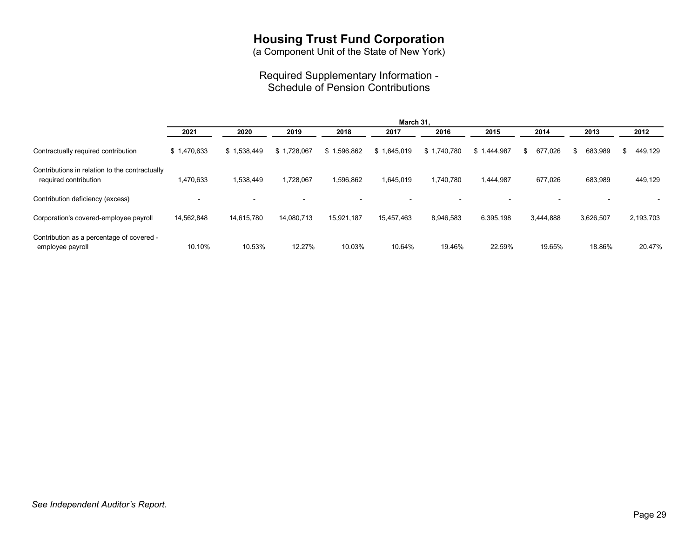(a Component Unit of the State of New York)

## Required Supplementary Information - Schedule of Pension Contributions

|                                                                         | March 31,   |                          |             |             |             |             |             |               |               |               |  |  |
|-------------------------------------------------------------------------|-------------|--------------------------|-------------|-------------|-------------|-------------|-------------|---------------|---------------|---------------|--|--|
|                                                                         | 2021        | 2020                     | 2019        | 2018        | 2017        | 2016        | 2015        | 2014          | 2013          | 2012          |  |  |
| Contractually required contribution                                     | \$1,470,633 | \$1.538.449              | \$1.728.067 | \$1,596,862 | \$1,645,019 | \$1,740,780 | \$1.444.987 | 677.026<br>S. | 683,989<br>£. | 449,129<br>\$ |  |  |
| Contributions in relation to the contractually<br>required contribution | 1,470,633   | 1,538,449                | 1,728,067   | 1,596,862   | 1,645,019   | 1,740,780   | 1,444,987   | 677,026       | 683,989       | 449,129       |  |  |
| Contribution deficiency (excess)                                        |             | $\overline{\phantom{0}}$ |             |             |             |             |             |               |               |               |  |  |
| Corporation's covered-employee payroll                                  | 14,562,848  | 14,615,780               | 14,080,713  | 15,921,187  | 15,457,463  | 8,946,583   | 6,395,198   | 3,444,888     | 3,626,507     | 2,193,703     |  |  |
| Contribution as a percentage of covered -<br>employee payroll           | 10.10%      | 10.53%                   | 12.27%      | 10.03%      | 10.64%      | 19.46%      | 22.59%      | 19.65%        | 18.86%        | 20.47%        |  |  |